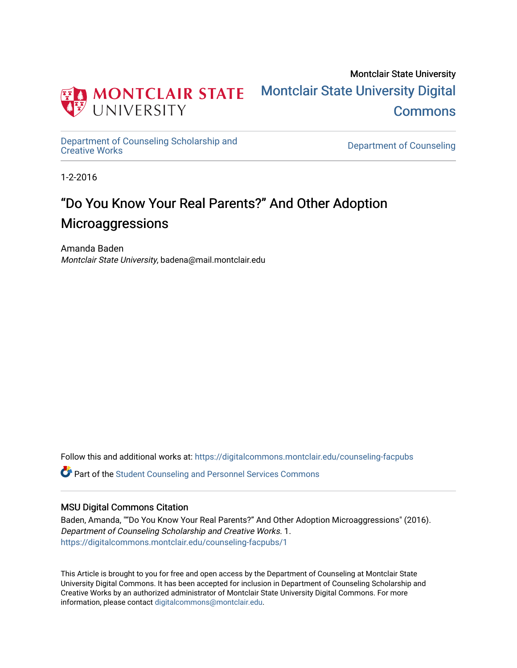

Montclair State University [Montclair State University Digital](https://digitalcommons.montclair.edu/)  **Commons** 

[Department of Counseling Scholarship and](https://digitalcommons.montclair.edu/counseling-facpubs)

Department of Counseling

1-2-2016

## "Do You Know Your Real Parents?" And Other Adoption **Microaggressions**

Amanda Baden Montclair State University, badena@mail.montclair.edu

Follow this and additional works at: [https://digitalcommons.montclair.edu/counseling-facpubs](https://digitalcommons.montclair.edu/counseling-facpubs?utm_source=digitalcommons.montclair.edu%2Fcounseling-facpubs%2F1&utm_medium=PDF&utm_campaign=PDFCoverPages) 

Part of the [Student Counseling and Personnel Services Commons](https://network.bepress.com/hgg/discipline/802?utm_source=digitalcommons.montclair.edu%2Fcounseling-facpubs%2F1&utm_medium=PDF&utm_campaign=PDFCoverPages) 

## MSU Digital Commons Citation

Baden, Amanda, ""Do You Know Your Real Parents?" And Other Adoption Microaggressions" (2016). Department of Counseling Scholarship and Creative Works. 1. [https://digitalcommons.montclair.edu/counseling-facpubs/1](https://digitalcommons.montclair.edu/counseling-facpubs/1?utm_source=digitalcommons.montclair.edu%2Fcounseling-facpubs%2F1&utm_medium=PDF&utm_campaign=PDFCoverPages) 

This Article is brought to you for free and open access by the Department of Counseling at Montclair State University Digital Commons. It has been accepted for inclusion in Department of Counseling Scholarship and Creative Works by an authorized administrator of Montclair State University Digital Commons. For more information, please contact [digitalcommons@montclair.edu](mailto:digitalcommons@montclair.edu).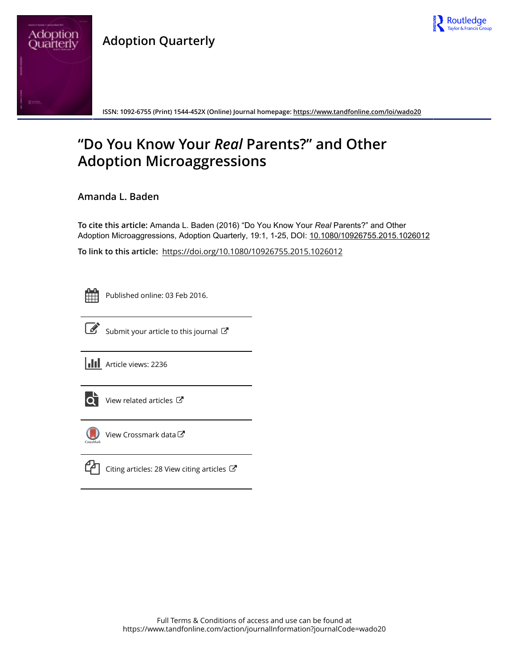

## **Adoption Quarterly**



**ISSN: 1092-6755 (Print) 1544-452X (Online) Journal homepage: <https://www.tandfonline.com/loi/wado20>**

# **"Do You Know Your** *Real* **Parents?" and Other Adoption Microaggressions**

**Amanda L. Baden**

**To cite this article:** Amanda L. Baden (2016) "Do You Know Your *Real* Parents?" and Other Adoption Microaggressions, Adoption Quarterly, 19:1, 1-25, DOI: [10.1080/10926755.2015.1026012](https://www.tandfonline.com/action/showCitFormats?doi=10.1080/10926755.2015.1026012)

**To link to this article:** <https://doi.org/10.1080/10926755.2015.1026012>

Published online: 03 Feb 2016.



 $\overrightarrow{S}$  [Submit your article to this journal](https://www.tandfonline.com/action/authorSubmission?journalCode=wado20&show=instructions)  $\overrightarrow{S}$ 

**III** Article views: 2236



 $\overrightarrow{Q}$  [View related articles](https://www.tandfonline.com/doi/mlt/10.1080/10926755.2015.1026012)  $\overrightarrow{C}$ 



[View Crossmark data](http://crossmark.crossref.org/dialog/?doi=10.1080/10926755.2015.1026012&domain=pdf&date_stamp=2016-02-03)  $\sigma$ 



 $\Box$  [Citing articles: 28 View citing articles](https://www.tandfonline.com/doi/citedby/10.1080/10926755.2015.1026012#tabModule)  $\Box$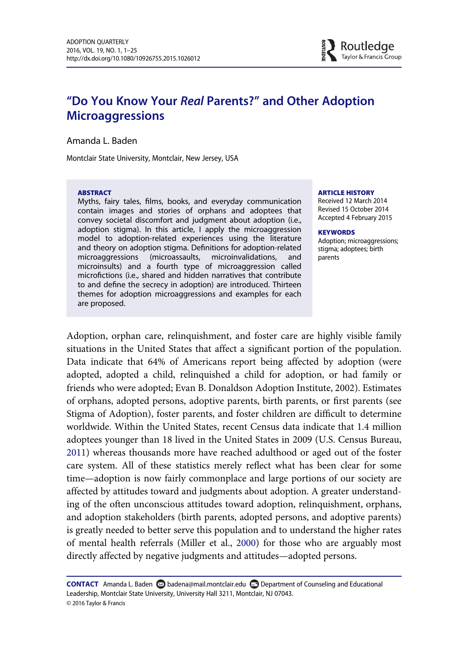## "Do You Know Your Real Parents?" and Other Adoption **Microaggressions**

Amanda L. Baden

Montclair State University, Montclair, New Jersey, USA

#### ABSTRACT

Myths, fairy tales, films, books, and everyday communication contain images and stories of orphans and adoptees that convey societal discomfort and judgment about adoption (i.e., adoption stigma). In this article, I apply the microaggression model to adoption-related experiences using the literature and theory on adoption stigma. Definitions for adoption-related microaggressions (microassaults, microinvalidations, and microinsults) and a fourth type of microaggression called microfictions (i.e., shared and hidden narratives that contribute to and define the secrecy in adoption) are introduced. Thirteen themes for adoption microaggressions and examples for each are proposed.

#### ARTICLE HISTORY

Received 12 March 2014 Revised 15 October 2014 Accepted 4 February 2015

#### **KEYWORDS**

Adoption; microaggressions; stigma; adoptees; birth parents

Adoption, orphan care, relinquishment, and foster care are highly visible family situations in the United States that affect a significant portion of the population. Data indicate that 64% of Americans report being affected by adoption (were adopted, adopted a child, relinquished a child for adoption, or had family or friends who were adopted; Evan B. Donaldson Adoption Institute, 2002). Estimates of orphans, adopted persons, adoptive parents, birth parents, or first parents (see Stigma of Adoption), foster parents, and foster children are difficult to determine worldwide. Within the United States, recent Census data indicate that 1.4 million adoptees younger than 18 lived in the United States in 2009 (U.S. Census Bureau, [2011\)](#page-26-0) whereas thousands more have reached adulthood or aged out of the foster care system. All of these statistics merely reflect what has been clear for some time—adoption is now fairly commonplace and large portions of our society are affected by attitudes toward and judgments about adoption. A greater understanding of the often unconscious attitudes toward adoption, relinquishment, orphans, and adoption stakeholders (birth parents, adopted persons, and adoptive parents) is greatly needed to better serve this population and to understand the higher rates of mental health referrals (Miller et al., [2000](#page-25-0)) for those who are arguably most directly affected by negative judgments and attitudes—adopted persons.

CONTACT Amanda L. Baden **S** badena@mail.montclair.edu Department of Counseling and Educational Leadership, Montclair State University, University Hall 3211, Montclair, NJ 07043. © 2016 Taylor & Francis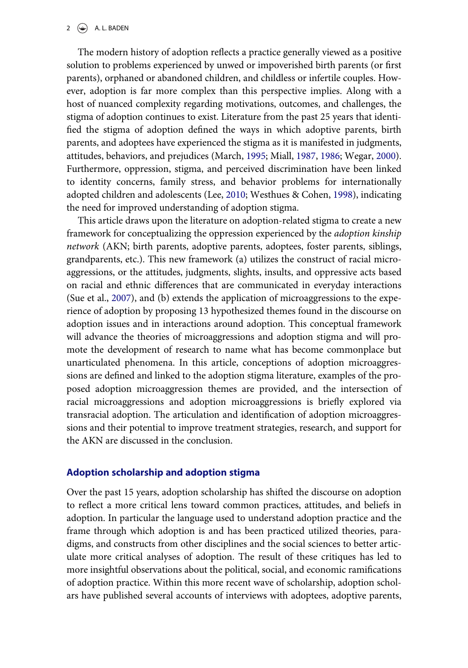#### 2  $\left(\frac{1}{2}\right)$  A. L. BADEN

The modern history of adoption reflects a practice generally viewed as a positive solution to problems experienced by unwed or impoverished birth parents (or first parents), orphaned or abandoned children, and childless or infertile couples. However, adoption is far more complex than this perspective implies. Along with a host of nuanced complexity regarding motivations, outcomes, and challenges, the stigma of adoption continues to exist. Literature from the past 25 years that identified the stigma of adoption defined the ways in which adoptive parents, birth parents, and adoptees have experienced the stigma as it is manifested in judgments, attitudes, behaviors, and prejudices (March, [1995](#page-24-0); Miall, [1987,](#page-24-1) [1986](#page-24-2); Wegar, [2000](#page-26-1)). Furthermore, oppression, stigma, and perceived discrimination have been linked to identity concerns, family stress, and behavior problems for internationally adopted children and adolescents (Lee, [2010](#page-24-3); Westhues & Cohen, [1998\)](#page-26-2), indicating the need for improved understanding of adoption stigma.

This article draws upon the literature on adoption-related stigma to create a new framework for conceptualizing the oppression experienced by the adoption kinship network (AKN; birth parents, adoptive parents, adoptees, foster parents, siblings, grandparents, etc.). This new framework (a) utilizes the construct of racial microaggressions, or the attitudes, judgments, slights, insults, and oppressive acts based on racial and ethnic differences that are communicated in everyday interactions (Sue et al., [2007\)](#page-25-1), and (b) extends the application of microaggressions to the experience of adoption by proposing 13 hypothesized themes found in the discourse on adoption issues and in interactions around adoption. This conceptual framework will advance the theories of microaggressions and adoption stigma and will promote the development of research to name what has become commonplace but unarticulated phenomena. In this article, conceptions of adoption microaggressions are defined and linked to the adoption stigma literature, examples of the proposed adoption microaggression themes are provided, and the intersection of racial microaggressions and adoption microaggressions is briefly explored via transracial adoption. The articulation and identification of adoption microaggressions and their potential to improve treatment strategies, research, and support for the AKN are discussed in the conclusion.

#### Adoption scholarship and adoption stigma

Over the past 15 years, adoption scholarship has shifted the discourse on adoption to reflect a more critical lens toward common practices, attitudes, and beliefs in adoption. In particular the language used to understand adoption practice and the frame through which adoption is and has been practiced utilized theories, paradigms, and constructs from other disciplines and the social sciences to better articulate more critical analyses of adoption. The result of these critiques has led to more insightful observations about the political, social, and economic ramifications of adoption practice. Within this more recent wave of scholarship, adoption scholars have published several accounts of interviews with adoptees, adoptive parents,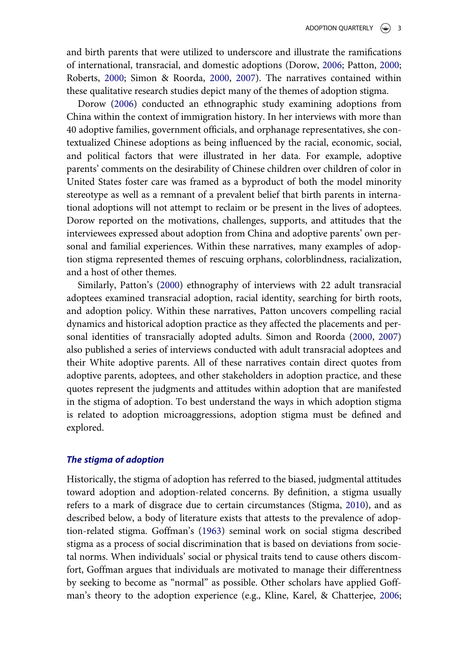and birth parents that were utilized to underscore and illustrate the ramifications of international, transracial, and domestic adoptions (Dorow, [2006](#page-23-0); Patton, [2000;](#page-25-2) Roberts, [2000](#page-25-3); Simon & Roorda, [2000,](#page-25-4) [2007](#page-25-5)). The narratives contained within these qualitative research studies depict many of the themes of adoption stigma.

Dorow ([2006\)](#page-23-0) conducted an ethnographic study examining adoptions from China within the context of immigration history. In her interviews with more than 40 adoptive families, government officials, and orphanage representatives, she contextualized Chinese adoptions as being influenced by the racial, economic, social, and political factors that were illustrated in her data. For example, adoptive parents' comments on the desirability of Chinese children over children of color in United States foster care was framed as a byproduct of both the model minority stereotype as well as a remnant of a prevalent belief that birth parents in international adoptions will not attempt to reclaim or be present in the lives of adoptees. Dorow reported on the motivations, challenges, supports, and attitudes that the interviewees expressed about adoption from China and adoptive parents' own personal and familial experiences. Within these narratives, many examples of adoption stigma represented themes of rescuing orphans, colorblindness, racialization, and a host of other themes.

Similarly, Patton's [\(2000](#page-25-2)) ethnography of interviews with 22 adult transracial adoptees examined transracial adoption, racial identity, searching for birth roots, and adoption policy. Within these narratives, Patton uncovers compelling racial dynamics and historical adoption practice as they affected the placements and personal identities of transracially adopted adults. Simon and Roorda ([2000,](#page-25-4) [2007](#page-25-5)) also published a series of interviews conducted with adult transracial adoptees and their White adoptive parents. All of these narratives contain direct quotes from adoptive parents, adoptees, and other stakeholders in adoption practice, and these quotes represent the judgments and attitudes within adoption that are manifested in the stigma of adoption. To best understand the ways in which adoption stigma is related to adoption microaggressions, adoption stigma must be defined and explored.

#### The stigma of adoption

Historically, the stigma of adoption has referred to the biased, judgmental attitudes toward adoption and adoption-related concerns. By definition, a stigma usually refers to a mark of disgrace due to certain circumstances (Stigma, [2010](#page-25-6)), and as described below, a body of literature exists that attests to the prevalence of adoption-related stigma. Goffman's [\(1963](#page-23-1)) seminal work on social stigma described stigma as a process of social discrimination that is based on deviations from societal norms. When individuals' social or physical traits tend to cause others discomfort, Goffman argues that individuals are motivated to manage their differentness by seeking to become as "normal" as possible. Other scholars have applied Goffman's theory to the adoption experience (e.g., Kline, Karel, & Chatterjee, [2006;](#page-24-4)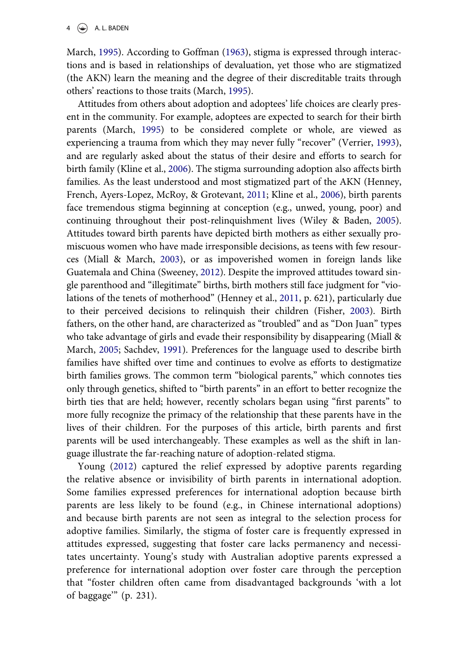March, [1995](#page-24-0)). According to Goffman ([1963\)](#page-23-1), stigma is expressed through interactions and is based in relationships of devaluation, yet those who are stigmatized (the AKN) learn the meaning and the degree of their discreditable traits through others' reactions to those traits (March, [1995\)](#page-24-0).

Attitudes from others about adoption and adoptees' life choices are clearly present in the community. For example, adoptees are expected to search for their birth parents (March, [1995](#page-24-0)) to be considered complete or whole, are viewed as experiencing a trauma from which they may never fully "recover" (Verrier, [1993](#page-26-3)), and are regularly asked about the status of their desire and efforts to search for birth family (Kline et al., [2006](#page-24-4)). The stigma surrounding adoption also affects birth families. As the least understood and most stigmatized part of the AKN (Henney, French, Ayers-Lopez, McRoy, & Grotevant, [2011;](#page-23-2) Kline et al., [2006](#page-24-4)), birth parents face tremendous stigma beginning at conception (e.g., unwed, young, poor) and continuing throughout their post-relinquishment lives (Wiley & Baden, [2005](#page-26-4)). Attitudes toward birth parents have depicted birth mothers as either sexually promiscuous women who have made irresponsible decisions, as teens with few resources (Miall & March, [2003](#page-24-5)), or as impoverished women in foreign lands like Guatemala and China (Sweeney, [2012\)](#page-26-5). Despite the improved attitudes toward single parenthood and "illegitimate" births, birth mothers still face judgment for "violations of the tenets of motherhood" (Henney et al., [2011](#page-23-2), p. 621), particularly due to their perceived decisions to relinquish their children (Fisher, [2003\)](#page-23-3). Birth fathers, on the other hand, are characterized as "troubled" and as "Don Juan" types who take advantage of girls and evade their responsibility by disappearing (Miall & March, [2005;](#page-25-7) Sachdev, [1991](#page-25-8)). Preferences for the language used to describe birth families have shifted over time and continues to evolve as efforts to destigmatize birth families grows. The common term "biological parents," which connotes ties only through genetics, shifted to "birth parents" in an effort to better recognize the birth ties that are held; however, recently scholars began using "first parents" to more fully recognize the primacy of the relationship that these parents have in the lives of their children. For the purposes of this article, birth parents and first parents will be used interchangeably. These examples as well as the shift in language illustrate the far-reaching nature of adoption-related stigma.

Young [\(2012\)](#page-26-6) captured the relief expressed by adoptive parents regarding the relative absence or invisibility of birth parents in international adoption. Some families expressed preferences for international adoption because birth parents are less likely to be found (e.g., in Chinese international adoptions) and because birth parents are not seen as integral to the selection process for adoptive families. Similarly, the stigma of foster care is frequently expressed in attitudes expressed, suggesting that foster care lacks permanency and necessitates uncertainty. Young's study with Australian adoptive parents expressed a preference for international adoption over foster care through the perception that "foster children often came from disadvantaged backgrounds 'with a lot of baggage'" (p. 231).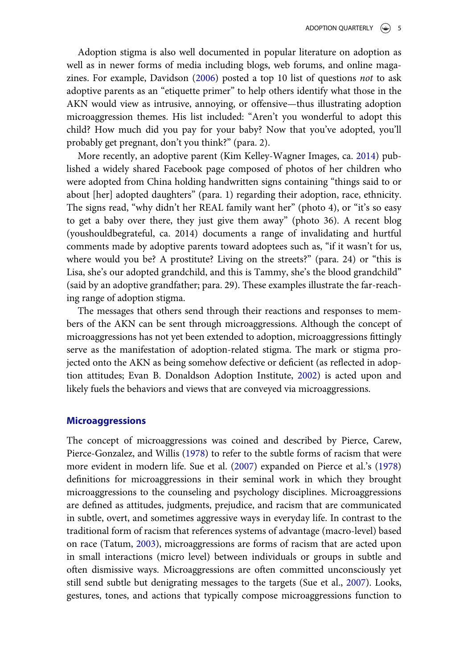Adoption stigma is also well documented in popular literature on adoption as well as in newer forms of media including blogs, web forums, and online magazines. For example, Davidson ([2006\)](#page-23-4) posted a top 10 list of questions not to ask adoptive parents as an "etiquette primer" to help others identify what those in the AKN would view as intrusive, annoying, or offensive—thus illustrating adoption microaggression themes. His list included: "Aren't you wonderful to adopt this child? How much did you pay for your baby? Now that you've adopted, you'll probably get pregnant, don't you think?" (para. 2).

More recently, an adoptive parent (Kim Kelley-Wagner Images, ca. [2014\)](#page-24-6) published a widely shared Facebook page composed of photos of her children who were adopted from China holding handwritten signs containing "things said to or about [her] adopted daughters" (para. 1) regarding their adoption, race, ethnicity. The signs read, "why didn't her REAL family want her" (photo 4), or "it's so easy to get a baby over there, they just give them away" (photo 36). A recent blog (youshouldbegrateful, ca. 2014) documents a range of invalidating and hurtful comments made by adoptive parents toward adoptees such as, "if it wasn't for us, where would you be? A prostitute? Living on the streets?" (para. 24) or "this is Lisa, she's our adopted grandchild, and this is Tammy, she's the blood grandchild" (said by an adoptive grandfather; para. 29). These examples illustrate the far-reaching range of adoption stigma.

The messages that others send through their reactions and responses to members of the AKN can be sent through microaggressions. Although the concept of microaggressions has not yet been extended to adoption, microaggressions fittingly serve as the manifestation of adoption-related stigma. The mark or stigma projected onto the AKN as being somehow defective or deficient (as reflected in adoption attitudes; Evan B. Donaldson Adoption Institute, [2002](#page-23-5)) is acted upon and likely fuels the behaviors and views that are conveyed via microaggressions.

#### Microaggressions

The concept of microaggressions was coined and described by Pierce, Carew, Pierce-Gonzalez, and Willis ([1978\)](#page-25-9) to refer to the subtle forms of racism that were more evident in modern life. Sue et al. [\(2007](#page-25-1)) expanded on Pierce et al.'s ([1978](#page-25-9)) definitions for microaggressions in their seminal work in which they brought microaggressions to the counseling and psychology disciplines. Microaggressions are defined as attitudes, judgments, prejudice, and racism that are communicated in subtle, overt, and sometimes aggressive ways in everyday life. In contrast to the traditional form of racism that references systems of advantage (macro-level) based on race (Tatum, [2003\)](#page-26-7), microaggressions are forms of racism that are acted upon in small interactions (micro level) between individuals or groups in subtle and often dismissive ways. Microaggressions are often committed unconsciously yet still send subtle but denigrating messages to the targets (Sue et al., [2007\)](#page-25-1). Looks, gestures, tones, and actions that typically compose microaggressions function to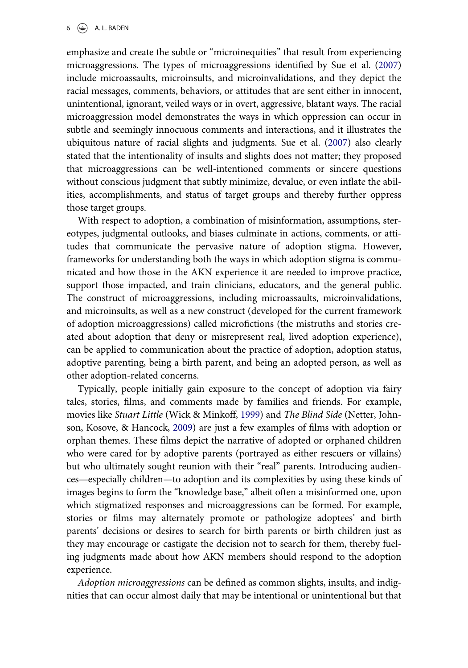emphasize and create the subtle or "microinequities" that result from experiencing microaggressions. The types of microaggressions identified by Sue et al. ([2007\)](#page-25-1) include microassaults, microinsults, and microinvalidations, and they depict the racial messages, comments, behaviors, or attitudes that are sent either in innocent, unintentional, ignorant, veiled ways or in overt, aggressive, blatant ways. The racial microaggression model demonstrates the ways in which oppression can occur in subtle and seemingly innocuous comments and interactions, and it illustrates the ubiquitous nature of racial slights and judgments. Sue et al. [\(2007](#page-25-1)) also clearly stated that the intentionality of insults and slights does not matter; they proposed that microaggressions can be well-intentioned comments or sincere questions without conscious judgment that subtly minimize, devalue, or even inflate the abilities, accomplishments, and status of target groups and thereby further oppress those target groups.

With respect to adoption, a combination of misinformation, assumptions, stereotypes, judgmental outlooks, and biases culminate in actions, comments, or attitudes that communicate the pervasive nature of adoption stigma. However, frameworks for understanding both the ways in which adoption stigma is communicated and how those in the AKN experience it are needed to improve practice, support those impacted, and train clinicians, educators, and the general public. The construct of microaggressions, including microassaults, microinvalidations, and microinsults, as well as a new construct (developed for the current framework of adoption microaggressions) called microfictions (the mistruths and stories created about adoption that deny or misrepresent real, lived adoption experience), can be applied to communication about the practice of adoption, adoption status, adoptive parenting, being a birth parent, and being an adopted person, as well as other adoption-related concerns.

Typically, people initially gain exposure to the concept of adoption via fairy tales, stories, films, and comments made by families and friends. For example, movies like Stuart Little (Wick & Minkoff, [1999\)](#page-26-8) and The Blind Side (Netter, Johnson, Kosove, & Hancock, [2009](#page-24-7)) are just a few examples of films with adoption or orphan themes. These films depict the narrative of adopted or orphaned children who were cared for by adoptive parents (portrayed as either rescuers or villains) but who ultimately sought reunion with their "real" parents. Introducing audiences—especially children—to adoption and its complexities by using these kinds of images begins to form the "knowledge base," albeit often a misinformed one, upon which stigmatized responses and microaggressions can be formed. For example, stories or films may alternately promote or pathologize adoptees' and birth parents' decisions or desires to search for birth parents or birth children just as they may encourage or castigate the decision not to search for them, thereby fueling judgments made about how AKN members should respond to the adoption experience.

Adoption microaggressions can be defined as common slights, insults, and indignities that can occur almost daily that may be intentional or unintentional but that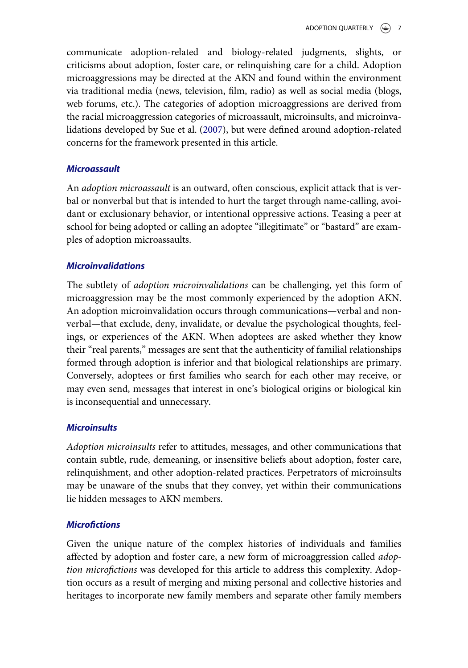communicate adoption-related and biology-related judgments, slights, or criticisms about adoption, foster care, or relinquishing care for a child. Adoption microaggressions may be directed at the AKN and found within the environment via traditional media (news, television, film, radio) as well as social media (blogs, web forums, etc.). The categories of adoption microaggressions are derived from the racial microaggression categories of microassault, microinsults, and microinvalidations developed by Sue et al. ([2007\)](#page-25-1), but were defined around adoption-related concerns for the framework presented in this article.

## **Microassault**

An adoption microassault is an outward, often conscious, explicit attack that is verbal or nonverbal but that is intended to hurt the target through name-calling, avoidant or exclusionary behavior, or intentional oppressive actions. Teasing a peer at school for being adopted or calling an adoptee "illegitimate" or "bastard" are examples of adoption microassaults.

## Microinvalidations

The subtlety of adoption microinvalidations can be challenging, yet this form of microaggression may be the most commonly experienced by the adoption AKN. An adoption microinvalidation occurs through communications—verbal and nonverbal—that exclude, deny, invalidate, or devalue the psychological thoughts, feelings, or experiences of the AKN. When adoptees are asked whether they know their "real parents," messages are sent that the authenticity of familial relationships formed through adoption is inferior and that biological relationships are primary. Conversely, adoptees or first families who search for each other may receive, or may even send, messages that interest in one's biological origins or biological kin is inconsequential and unnecessary.

### **Microinsults**

Adoption microinsults refer to attitudes, messages, and other communications that contain subtle, rude, demeaning, or insensitive beliefs about adoption, foster care, relinquishment, and other adoption-related practices. Perpetrators of microinsults may be unaware of the snubs that they convey, yet within their communications lie hidden messages to AKN members.

## **Microfictions**

Given the unique nature of the complex histories of individuals and families affected by adoption and foster care, a new form of microaggression called adoption microfictions was developed for this article to address this complexity. Adoption occurs as a result of merging and mixing personal and collective histories and heritages to incorporate new family members and separate other family members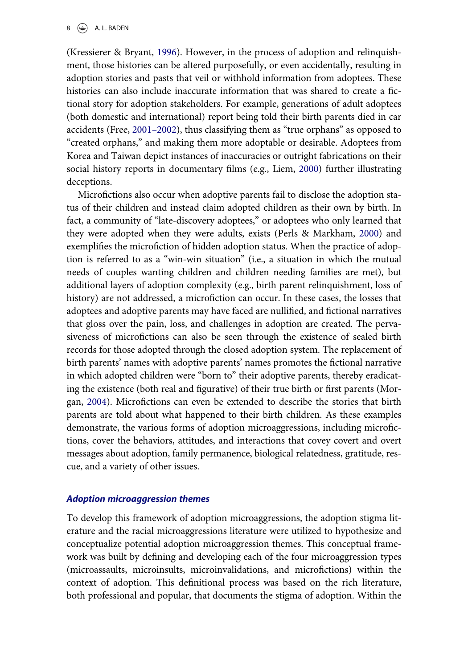#### $8 \quad (*)$  A. L. BADEN

(Kressierer & Bryant, [1996](#page-24-8)). However, in the process of adoption and relinquishment, those histories can be altered purposefully, or even accidentally, resulting in adoption stories and pasts that veil or withhold information from adoptees. These histories can also include inaccurate information that was shared to create a fictional story for adoption stakeholders. For example, generations of adult adoptees (both domestic and international) report being told their birth parents died in car accidents (Free, [2001](#page-23-6)–2002), thus classifying them as "true orphans" as opposed to "created orphans," and making them more adoptable or desirable. Adoptees from Korea and Taiwan depict instances of inaccuracies or outright fabrications on their social history reports in documentary films (e.g., Liem, [2000\)](#page-24-9) further illustrating deceptions.

Microfictions also occur when adoptive parents fail to disclose the adoption status of their children and instead claim adopted children as their own by birth. In fact, a community of "late-discovery adoptees," or adoptees who only learned that they were adopted when they were adults, exists (Perls & Markham, [2000\)](#page-25-10) and exemplifies the microfiction of hidden adoption status. When the practice of adoption is referred to as a "win-win situation" (i.e., a situation in which the mutual needs of couples wanting children and children needing families are met), but additional layers of adoption complexity (e.g., birth parent relinquishment, loss of history) are not addressed, a microfiction can occur. In these cases, the losses that adoptees and adoptive parents may have faced are nullified, and fictional narratives that gloss over the pain, loss, and challenges in adoption are created. The pervasiveness of microfictions can also be seen through the existence of sealed birth records for those adopted through the closed adoption system. The replacement of birth parents' names with adoptive parents' names promotes the fictional narrative in which adopted children were "born to" their adoptive parents, thereby eradicating the existence (both real and figurative) of their true birth or first parents (Morgan, [2004\)](#page-25-11). Microfictions can even be extended to describe the stories that birth parents are told about what happened to their birth children. As these examples demonstrate, the various forms of adoption microaggressions, including microfictions, cover the behaviors, attitudes, and interactions that covey covert and overt messages about adoption, family permanence, biological relatedness, gratitude, rescue, and a variety of other issues.

#### Adoption microaggression themes

To develop this framework of adoption microaggressions, the adoption stigma literature and the racial microaggressions literature were utilized to hypothesize and conceptualize potential adoption microaggression themes. This conceptual framework was built by defining and developing each of the four microaggression types (microassaults, microinsults, microinvalidations, and microfictions) within the context of adoption. This definitional process was based on the rich literature, both professional and popular, that documents the stigma of adoption. Within the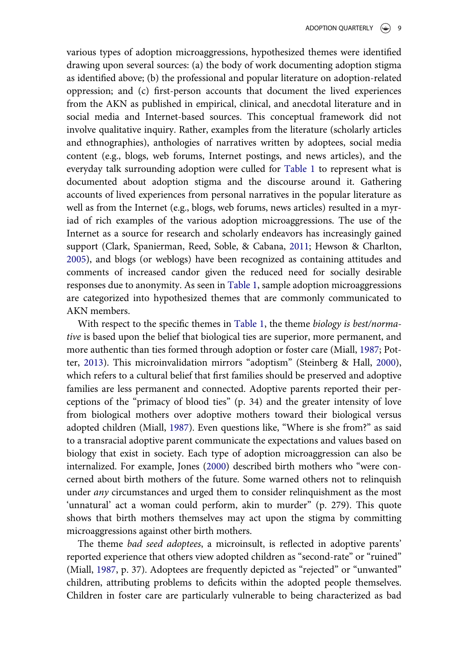various types of adoption microaggressions, hypothesized themes were identified drawing upon several sources: (a) the body of work documenting adoption stigma as identified above; (b) the professional and popular literature on adoption-related oppression; and (c) first-person accounts that document the lived experiences from the AKN as published in empirical, clinical, and anecdotal literature and in social media and Internet-based sources. This conceptual framework did not involve qualitative inquiry. Rather, examples from the literature (scholarly articles and ethnographies), anthologies of narratives written by adoptees, social media content (e.g., blogs, web forums, Internet postings, and news articles), and the everyday talk surrounding adoption were culled for [Table 1](#page-14-0) to represent what is documented about adoption stigma and the discourse around it. Gathering accounts of lived experiences from personal narratives in the popular literature as well as from the Internet (e.g., blogs, web forums, news articles) resulted in a myriad of rich examples of the various adoption microaggressions. The use of the Internet as a source for research and scholarly endeavors has increasingly gained support (Clark, Spanierman, Reed, Soble, & Cabana, [2011;](#page-23-7) Hewson & Charlton, [2005\)](#page-24-10), and blogs (or weblogs) have been recognized as containing attitudes and comments of increased candor given the reduced need for socially desirable responses due to anonymity. As seen in [Table 1](#page-14-0), sample adoption microaggressions are categorized into hypothesized themes that are commonly communicated to AKN members.

With respect to the specific themes in [Table 1,](#page-14-0) the theme biology is best/normative is based upon the belief that biological ties are superior, more permanent, and more authentic than ties formed through adoption or foster care (Miall, [1987](#page-24-1); Potter, [2013](#page-25-12)). This microinvalidation mirrors "adoptism" (Steinberg & Hall, [2000](#page-25-13)), which refers to a cultural belief that first families should be preserved and adoptive families are less permanent and connected. Adoptive parents reported their perceptions of the "primacy of blood ties" (p. 34) and the greater intensity of love from biological mothers over adoptive mothers toward their biological versus adopted children (Miall, [1987](#page-24-1)). Even questions like, "Where is she from?" as said to a transracial adoptive parent communicate the expectations and values based on biology that exist in society. Each type of adoption microaggression can also be internalized. For example, Jones [\(2000](#page-24-11)) described birth mothers who "were concerned about birth mothers of the future. Some warned others not to relinquish under any circumstances and urged them to consider relinquishment as the most 'unnatural' act a woman could perform, akin to murder" (p. 279). This quote shows that birth mothers themselves may act upon the stigma by committing microaggressions against other birth mothers.

The theme bad seed adoptees, a microinsult, is reflected in adoptive parents' reported experience that others view adopted children as "second-rate" or "ruined" (Miall, [1987,](#page-24-1) p. 37). Adoptees are frequently depicted as "rejected" or "unwanted" children, attributing problems to deficits within the adopted people themselves. Children in foster care are particularly vulnerable to being characterized as bad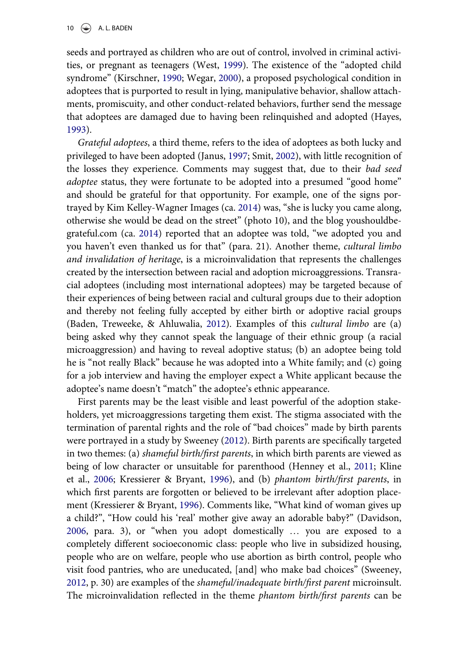seeds and portrayed as children who are out of control, involved in criminal activities, or pregnant as teenagers (West, [1999](#page-26-9)). The existence of the "adopted child syndrome" (Kirschner, [1990;](#page-24-12) Wegar, [2000](#page-26-1)), a proposed psychological condition in adoptees that is purported to result in lying, manipulative behavior, shallow attachments, promiscuity, and other conduct-related behaviors, further send the message that adoptees are damaged due to having been relinquished and adopted (Hayes, [1993\)](#page-23-8).

Grateful adoptees, a third theme, refers to the idea of adoptees as both lucky and privileged to have been adopted (Janus, [1997;](#page-24-13) Smit, [2002\)](#page-25-14), with little recognition of the losses they experience. Comments may suggest that, due to their bad seed adoptee status, they were fortunate to be adopted into a presumed "good home" and should be grateful for that opportunity. For example, one of the signs portrayed by Kim Kelley-Wagner Images (ca. [2014](#page-24-6)) was, "she is lucky you came along, otherwise she would be dead on the street" (photo 10), and the blog youshouldbegrateful.com (ca. [2014\)](#page-26-10) reported that an adoptee was told, "we adopted you and you haven't even thanked us for that" (para. 21). Another theme, cultural limbo and invalidation of heritage, is a microinvalidation that represents the challenges created by the intersection between racial and adoption microaggressions. Transracial adoptees (including most international adoptees) may be targeted because of their experiences of being between racial and cultural groups due to their adoption and thereby not feeling fully accepted by either birth or adoptive racial groups (Baden, Treweeke, & Ahluwalia, [2012](#page-23-9)). Examples of this cultural limbo are (a) being asked why they cannot speak the language of their ethnic group (a racial microaggression) and having to reveal adoptive status; (b) an adoptee being told he is "not really Black" because he was adopted into a White family; and (c) going for a job interview and having the employer expect a White applicant because the adoptee's name doesn't "match" the adoptee's ethnic appearance.

First parents may be the least visible and least powerful of the adoption stakeholders, yet microaggressions targeting them exist. The stigma associated with the termination of parental rights and the role of "bad choices" made by birth parents were portrayed in a study by Sweeney ([2012\)](#page-26-5). Birth parents are specifically targeted in two themes: (a) shameful birth/first parents, in which birth parents are viewed as being of low character or unsuitable for parenthood (Henney et al., [2011](#page-23-2); Kline et al., [2006;](#page-24-4) Kressierer & Bryant, [1996\)](#page-24-8), and (b) phantom birth/first parents, in which first parents are forgotten or believed to be irrelevant after adoption placement (Kressierer & Bryant, [1996](#page-24-8)). Comments like, "What kind of woman gives up a child?", "How could his 'real' mother give away an adorable baby?" (Davidson, [2006,](#page-23-4) para. 3), or "when you adopt domestically … you are exposed to a completely different socioeconomic class: people who live in subsidized housing, people who are on welfare, people who use abortion as birth control, people who visit food pantries, who are uneducated, [and] who make bad choices" (Sweeney, [2012,](#page-26-5) p. 30) are examples of the shameful/inadequate birth/first parent microinsult. The microinvalidation reflected in the theme phantom birth/first parents can be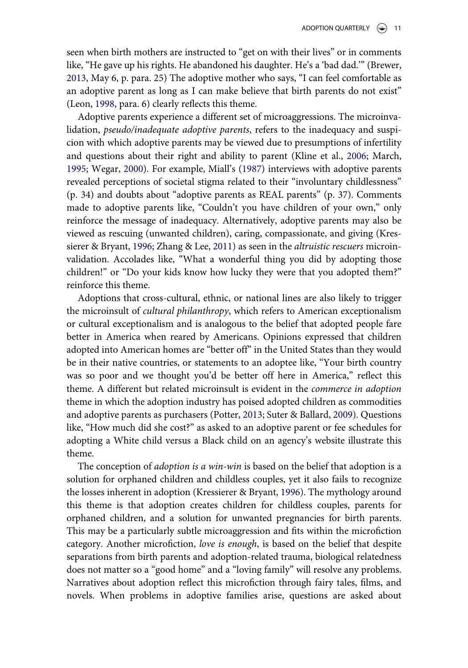seen when birth mothers are instructed to "get on with their lives" or in comments like, "He gave up his rights. He abandoned his daughter. He's a 'bad dad.'" (Brewer, [2013,](#page-23-10) May 6, p. para. 25) The adoptive mother who says, "I can feel comfortable as an adoptive parent as long as I can make believe that birth parents do not exist" (Leon, [1998](#page-24-14), para. 6) clearly reflects this theme.

Adoptive parents experience a different set of microaggressions. The microinvalidation, pseudo/inadequate adoptive parents, refers to the inadequacy and suspicion with which adoptive parents may be viewed due to presumptions of infertility and questions about their right and ability to parent (Kline et al., [2006](#page-24-4); March, [1995;](#page-24-0) Wegar, [2000](#page-26-1)). For example, Miall's ([1987\)](#page-24-1) interviews with adoptive parents revealed perceptions of societal stigma related to their "involuntary childlessness" (p. 34) and doubts about "adoptive parents as REAL parents" (p. 37). Comments made to adoptive parents like, "Couldn't you have children of your own," only reinforce the message of inadequacy. Alternatively, adoptive parents may also be viewed as rescuing (unwanted children), caring, compassionate, and giving (Kres-sierer & Bryant, [1996;](#page-24-8) Zhang & Lee, [2011](#page-26-11)) as seen in the *altruistic rescuers* microinvalidation. Accolades like, "What a wonderful thing you did by adopting those children!" or "Do your kids know how lucky they were that you adopted them?" reinforce this theme.

Adoptions that cross-cultural, ethnic, or national lines are also likely to trigger the microinsult of cultural philanthropy, which refers to American exceptionalism or cultural exceptionalism and is analogous to the belief that adopted people fare better in America when reared by Americans. Opinions expressed that children adopted into American homes are "better off" in the United States than they would be in their native countries, or statements to an adoptee like, "Your birth country was so poor and we thought you'd be better off here in America," reflect this theme. A different but related microinsult is evident in the commerce in adoption theme in which the adoption industry has poised adopted children as commodities and adoptive parents as purchasers (Potter, [2013;](#page-25-12) Suter & Ballard, [2009\)](#page-26-12). Questions like, "How much did she cost?" as asked to an adoptive parent or fee schedules for adopting a White child versus a Black child on an agency's website illustrate this theme.

The conception of *adoption is a win-win* is based on the belief that adoption is a solution for orphaned children and childless couples, yet it also fails to recognize the losses inherent in adoption (Kressierer & Bryant, [1996](#page-24-8)). The mythology around this theme is that adoption creates children for childless couples, parents for orphaned children, and a solution for unwanted pregnancies for birth parents. This may be a particularly subtle microaggression and fits within the microfiction category. Another microfiction, love is enough, is based on the belief that despite separations from birth parents and adoption-related trauma, biological relatedness does not matter so a "good home" and a "loving family" will resolve any problems. Narratives about adoption reflect this microfiction through fairy tales, films, and novels. When problems in adoptive families arise, questions are asked about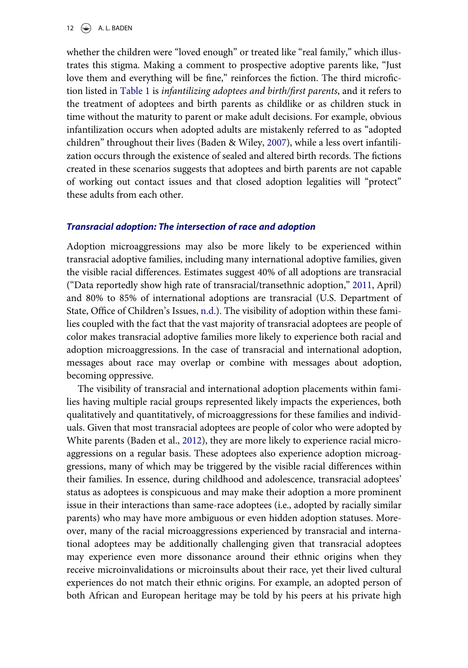12  $\left(\bigcirc\right)$  A. L. BADEN

whether the children were "loved enough" or treated like "real family," which illustrates this stigma. Making a comment to prospective adoptive parents like, "Just love them and everything will be fine," reinforces the fiction. The third microfiction listed in [Table 1](#page-14-0) is infantilizing adoptees and birth/first parents, and it refers to the treatment of adoptees and birth parents as childlike or as children stuck in time without the maturity to parent or make adult decisions. For example, obvious infantilization occurs when adopted adults are mistakenly referred to as "adopted children" throughout their lives (Baden & Wiley, [2007](#page-23-11)), while a less overt infantilization occurs through the existence of sealed and altered birth records. The fictions created in these scenarios suggests that adoptees and birth parents are not capable of working out contact issues and that closed adoption legalities will "protect" these adults from each other.

#### Transracial adoption: The intersection of race and adoption

Adoption microaggressions may also be more likely to be experienced within transracial adoptive families, including many international adoptive families, given the visible racial differences. Estimates suggest 40% of all adoptions are transracial ("Data reportedly show high rate of transracial/transethnic adoption," [2011,](#page-23-12) April) and 80% to 85% of international adoptions are transracial (U.S. Department of State, Office of Children's Issues, [n.d.\)](#page-26-13). The visibility of adoption within these families coupled with the fact that the vast majority of transracial adoptees are people of color makes transracial adoptive families more likely to experience both racial and adoption microaggressions. In the case of transracial and international adoption, messages about race may overlap or combine with messages about adoption, becoming oppressive.

The visibility of transracial and international adoption placements within families having multiple racial groups represented likely impacts the experiences, both qualitatively and quantitatively, of microaggressions for these families and individuals. Given that most transracial adoptees are people of color who were adopted by White parents (Baden et al., [2012](#page-23-9)), they are more likely to experience racial microaggressions on a regular basis. These adoptees also experience adoption microaggressions, many of which may be triggered by the visible racial differences within their families. In essence, during childhood and adolescence, transracial adoptees' status as adoptees is conspicuous and may make their adoption a more prominent issue in their interactions than same-race adoptees (i.e., adopted by racially similar parents) who may have more ambiguous or even hidden adoption statuses. Moreover, many of the racial microaggressions experienced by transracial and international adoptees may be additionally challenging given that transracial adoptees may experience even more dissonance around their ethnic origins when they receive microinvalidations or microinsults about their race, yet their lived cultural experiences do not match their ethnic origins. For example, an adopted person of both African and European heritage may be told by his peers at his private high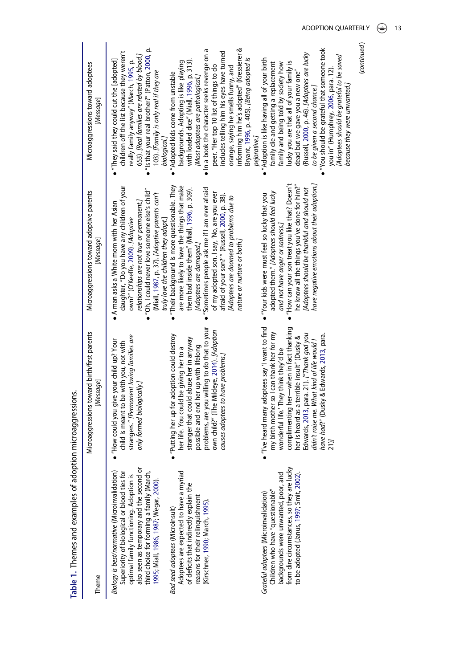<span id="page-14-0"></span>

| Table 1. Themes and examples of adoption microaggressions.                                                                                                                                                                                                                 |                                                                                                                                                                                                                                                                                                                                                                      |                                                                                                                                                                                                                                                                                                                                                                                                                                      |                                                                                                                                                                                                                                                                                                                                                                                                   |
|----------------------------------------------------------------------------------------------------------------------------------------------------------------------------------------------------------------------------------------------------------------------------|----------------------------------------------------------------------------------------------------------------------------------------------------------------------------------------------------------------------------------------------------------------------------------------------------------------------------------------------------------------------|--------------------------------------------------------------------------------------------------------------------------------------------------------------------------------------------------------------------------------------------------------------------------------------------------------------------------------------------------------------------------------------------------------------------------------------|---------------------------------------------------------------------------------------------------------------------------------------------------------------------------------------------------------------------------------------------------------------------------------------------------------------------------------------------------------------------------------------------------|
| Theme                                                                                                                                                                                                                                                                      | Microaggressions toward birth/first parents<br>[Message]                                                                                                                                                                                                                                                                                                             | Microaggressions toward adoptive parents<br>[Message]                                                                                                                                                                                                                                                                                                                                                                                | Microaggressions toward adoptees<br>[Message]                                                                                                                                                                                                                                                                                                                                                     |
| also seen as temporary and the second or<br>Biology is best/normative (Microinvalidation)<br>Superiority of biological or blood ties for<br>third choice for forming a family (March,<br>optimal family functioning. Adoption is<br>1995; Miall, 1986, 1987; Wegar, 2000). | strangers." [Permanent loving families are<br>"How could you give your child up? Your<br>child is meant to be with you, not with<br>only formed biologically.                                                                                                                                                                                                        | daughter, "Do you have any children of your<br>'Oh, I could never love someone else's child"<br>(Miall, 1987, p. 37). [Adoptive parents can't<br>relationships are not true or permanent.]<br>A man asks a White mom with her Asian<br>own?" (O'Keeffe, 2009). [Adoptive                                                                                                                                                             | "Is that your real brother?" (Patton, 2000, p.<br>children off the list because they weren't<br>653). [Real families are related by blood.]<br>"They said they could cut the [adopted]<br>really family anyway" (March, 1995, p.<br>103). [Family is only real if they are                                                                                                                        |
| Adoptees are expected to have a myriad<br>of deficits that indirectly explain the<br>reasons for their relinquishment<br>Kirschner, 1990; March, 1995).<br>Bad seed adoptees (Microinsult)                                                                                 | problems, are you willing to do that to your<br>own child?" (The Mildeye, 2014). [Adoption<br>"Putting her up for adoption could destroy<br>stranger that could abuse her in anyway<br>possible and end her up with lifelong<br>her life. You could be giving her to a<br>causes adoptees to have problems.                                                          | Their background is more questionable. They<br>are more likely to have the things that make<br>Sometimes people ask me if I am ever afraid<br>them bad inside them" (Miall, 1996, p. 309).<br>of my adopted son. I say, 'No, are you ever<br>afraid of your son?" (Russell, 2000, p. 38).<br>Adoptees are doomed to problems due to<br>truly love the children they adopt.]<br>nature or nurture or both.<br>[Adoptees are damaged.] | informing him he's adopted" (Kressierer &<br>In a book the character seeks revenge on a<br>includes telling him his eyes have turned<br>with loaded dice" (Miall, 1996, p. 313).<br>backgrounds. Adopting is like playing<br>peer. "Her top 10 list of things to do<br>orange, saying he smells funny, and<br>Adopted kids come from unstable<br>[Most adoptees are pathological.]<br>biological. |
| from dire circumstances, so they are lucky<br>backgrounds were unwanted, poor, and<br>o be adopted (Janus, 1997; Smit, 2002).<br>Children who have "questionable"<br>Grateful adoptees (Microinvalidation)                                                                 | "I've heard many adoptees say 'I want to find<br>complimenting her-when in fact thanking<br>my birth mother so I can thank her for my<br>Edwards, 2013, para. 21). ["Thank god you<br>have had?" (Dusky & Edwards, 2013, para.<br>her is heard as a terrible insult" (Dusky &<br>didn't raise me. What kind of life would I<br>wonderful life.' They think they'd be | How can your son treat you like that? Doesn't<br>he know all the things you've done for him?"<br>have negative emotions about their adoption.]<br>(Adoptees should be thankful and should not<br>adopted them." [Adoptees should feel lucky<br>. "Your kids were must feel so lucky that you<br>and not have anger or sadness.]                                                                                                      | 'You should be grateful that someone took<br>(Russell, 2000, p. 46). [Adoptees are lucky<br>Bryant, 1996, p. 405). [Being adopted is<br>Adoption is like having all of your birth<br>lucky you are that all of your family is<br>family die and getting a replacement<br>family and being told by society how<br>dead but we gave you a new one'<br>to be given a second chance.]<br>pejorative.] |
|                                                                                                                                                                                                                                                                            | 21)]                                                                                                                                                                                                                                                                                                                                                                 |                                                                                                                                                                                                                                                                                                                                                                                                                                      | (Adoptees should be grateful to be saved<br>you in" (Humphrey, 2006, para. 12)<br>because they were unwanted.]                                                                                                                                                                                                                                                                                    |

ADOPTION QUARTERLY (4) 13

(continued)

(continued)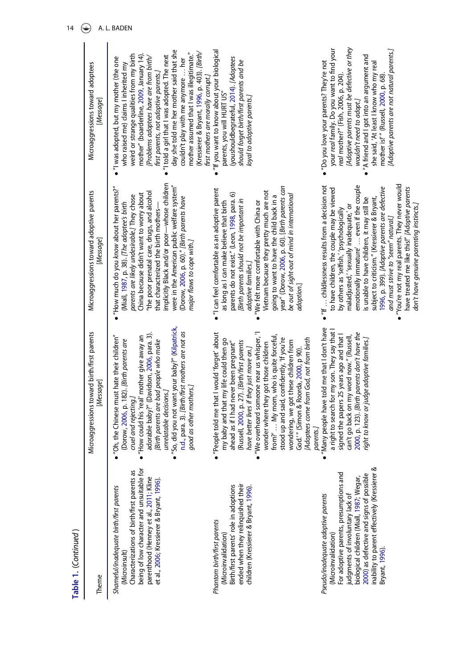| Table 1. (Continued)                                                                                                                                                                                                                                                                               |                                                                                                                                                                                                                                                                                                                                                                                                                                                                                                                                                  |                                                                                                                                                                                                                                                                                                                                                                                                                                                                                                                                                                                  |                                                                                                                                                                                                                                                                                                                                                                                                                                                                                         |
|----------------------------------------------------------------------------------------------------------------------------------------------------------------------------------------------------------------------------------------------------------------------------------------------------|--------------------------------------------------------------------------------------------------------------------------------------------------------------------------------------------------------------------------------------------------------------------------------------------------------------------------------------------------------------------------------------------------------------------------------------------------------------------------------------------------------------------------------------------------|----------------------------------------------------------------------------------------------------------------------------------------------------------------------------------------------------------------------------------------------------------------------------------------------------------------------------------------------------------------------------------------------------------------------------------------------------------------------------------------------------------------------------------------------------------------------------------|-----------------------------------------------------------------------------------------------------------------------------------------------------------------------------------------------------------------------------------------------------------------------------------------------------------------------------------------------------------------------------------------------------------------------------------------------------------------------------------------|
| Theme                                                                                                                                                                                                                                                                                              | Microaggressions toward birth/first parents<br>[Message]                                                                                                                                                                                                                                                                                                                                                                                                                                                                                         | Microaggressions toward adoptive parents<br>[Message]                                                                                                                                                                                                                                                                                                                                                                                                                                                                                                                            | Microaggressions toward adoptees<br>[Message]                                                                                                                                                                                                                                                                                                                                                                                                                                           |
| being of low character and unsuitable for<br>Characterizations of birth/first parents as<br>parenthood (Henney et al., 2011; Kline<br>et al., 2006; Kressierer & Bryant, 1996).<br>Shameful/inadequate birth/first parents<br>(Microinsult)                                                        | So, did you not want your baby?" (Kilpatrick,<br>n.d., para. 3). [Birth/first mothers are not as<br>adorable baby?" (Davidson, 2006, para. 3).<br>How could his 'real' mother give away an<br>'Oh, the Chinese must hate their children''<br>(Dorow, 2006, p. 182). [Birth parents are<br>[Birth parents are bad people who make<br>good as other mothers.<br>unrelatable decisions.]<br>cruel and rejecting.]                                                                                                                                   | implicitly Black and/or poor-whose children<br>were in the American public welfare system"<br>"How much do you know about her parents?"<br>"the poor prenatal care, drugs, and alcohol<br>China because didn't want to worry about<br>parents are likely undesirable.] They chose<br>(Dorow, 2006, p. 60)." [Birth parents have<br>(Miall, 1987, p. 38). [The adoptee's birth<br>that characterized the birth mothers-<br>major flaws to cope with.]                                                                                                                             | day she told me her mother said that she<br>mother assumed that I was illegitimate."<br>(Kressierer & Bryant, 1996, p. 403). [Birth/<br>weird or strange qualities from my birth<br>mother" (boarderline, 2009, January 14).<br>"I told a girl that I was adopted. The next<br>[Problems adoptees have are from birth/<br>"I was adopted, but my mother (the one<br>couldn't play with me anymore  her<br>who raised me) claims I inherited my<br>first parents, not adoptive parents.] |
| ended when they relinquished their<br>Birth/first parents' role in adoptions<br>children (Kressierer & Bryant, 1996).<br>Phantom birth/first parents<br>(Microinvalidation)                                                                                                                        | 'People told me that I would 'forget' about<br>We overheard someone near us whisper, 'I<br>from?'  My mom, who is quite forceful,<br>stood up and said, confidently, 'If you're<br>(Adoptees come from God, not from birth<br>my baby and that my life could then go<br>wondering, we got these children from<br>ahead as if I had never been pregnant"<br>(Russell, 2000, p. 27). [Birth/first parents<br>wonder where they got those children<br>have better lives if they just move on.]<br>God.'" (Simon & Roorda, 2000, p 90).<br>parents.] | year" (Dorow, 2006, p. 60). [Birth parents can<br>"I can feel comfortable as an adoptive parent<br>Vietnam because they pretty much are not<br>parents do not exist." (Leon, 1998, para. 6)<br>be out of sight-out of mind in international<br>going to want to have the child back in a<br>[Birth parents should not be important in<br>as long as I can make believe that birth<br>"We felt more comfortable with China or<br>adoptive families.]<br>adoption.]                                                                                                                | "If you want to know about your biological<br>(youshouldbegrateful, 2014). [Adoptees<br>should forget birth/first parents and be<br>first mothers are morally corrupt.<br>parents, you will HURT US"<br>loyal to adoptive parents.]                                                                                                                                                                                                                                                     |
| inability to parent effectively (Kressierer &<br>For adoptive parents, presumptions and<br>2000) as defective and signs of possible<br>biological children (Miall, 1987; Wegar,<br>Pseudo/inadequate adoptive parents<br>judgments of involuntary lack of<br>(Microinvalidation)<br>Bryant, 1996). | Many people have told me that I don't have<br>a right to search for my son. They say that<br>2000, p. 123). [Birth parents don't have the<br>signed the papers 25 years ago and that<br>can't go back on my word now." (Russell,<br>right to know or judge adoptive families.]                                                                                                                                                                                                                                                                   | "You're not my real parents. They never would<br>$\bullet$ "If  childlessness results from a decision not<br>emotionally immature'  even if the couple<br>1996, p. 399). [Adoptive parents are defective<br>have treated me like this!" [Adoptive parents<br>to have children, the couple may be viewed<br>is unable to have children, it may still be<br>subject to criticism." (Kressierer & Bryant,<br>don't have genuine parenting instincts.]<br>maladjusted,' 'sexually inadequate,' or<br>by others as 'selfish,' 'psychologically<br>and must strive to "seem" natural.] | [Adoptive parents must be defective or they<br>your real family. Do you want to find your<br>[Adoptive parents are not natural parents.]<br>"A friend and I got into an argument and<br>• "Do you love your parents? They're not<br>she said, 'At least I know who my real<br>real mother?" (Fish, 2006, p. 204)<br>mother is!'" (Russell, 2000, p. 68)<br>wouldn't need to adopt.]                                                                                                     |

14  $\bigoplus$  A. L. BADEN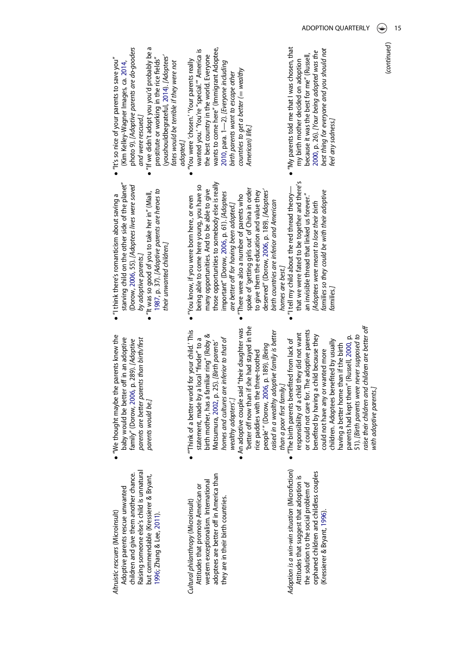- adoptees are better off in America than adoptees are better off in America than western exceptionalism. International western exceptionalism. International Attitudes that promote American or Attitudes that promote American or they are in their birth countries. they are in their birth countries. Cultural philanthropy (Microinsult) Cultural philanthropy (Microinsult)
- Adoption is a win-win situation (Microfiction) Adoption is a win-win situation (Microfiction) orphaned children and childless couples orphaned children and childless couples Attitudes that suggest that adoption is Attitudes that suggest that adoption is the solution to the social problem of the solution to the social problem of (Kressierer & Bryant, [1996](#page-24-8)). (Kressierer & Bryant, 1996).
- . "We thought maybe the parents knew the "We thought maybe the parents knew the baby would be better off in an adoptive baby would be better off in an adoptive family" (Dorow, 2006, p. 289). [Adoptive parents are better parents than birth/first parents are better parents than birth/first family" (Dorow, [2006](#page-23-0), p. 289). [Adoptive parents would be.] parents would be.]
- . "Think of a better world for your child.' This "'Think of a better world for your child.' This birth mother, has a familiar ring" (Roby & birth mother, has a familiar ring" (Roby & statement, made by a local "finder" to a homes and cultures are inferior to that of homes and cultures are inferior to that of statement, made by a local "finder" to a Matsumura, 2002, p. 25). [Birth parents' Matsumura, [2002](#page-25-16), p. 25). [Birth parents' wealthy adopters'.] wealthy adopters'.]
- better off now than if she had stayed in the . An adoptive couple said "their daughter was 'better off now than if she had stayed in the An adoptive couple said "their daughter was raised in a wealthy adoptive family is better raised in a wealthy adoptive family is better people'" (Dorow, 2006, p. 189). [Being people' " (Dorow, [2006,](#page-23-0) p. 189). [Being rice paddies with the three-toothed rice paddies with the three-toothed than a poor first family.] than a poor first family.]
	- raise their children and children are better off raise their children and children are better off or could not care for. The adoptive parents or could not care for. The adoptive parents responsibility of a child they did not want responsibility of a child they did not want benefited by having a child because they parents had kept them" (Russell, 2000, p. benefited by having a child because they 51). [Birth parents were never supposed to parents had kept them" (Russell, [2000](#page-25-3), p. 51). [Birth parents were never supposed to · "The birth parents benefited from lack of children. Adoptees benefited by usually "The birth parents benefited from lack of children. Adoptees benefited by usually having a better home than if the birth having a better home than if the birth could not have any or wanted more could not have any or wanted more with adoptive parents.] with adoptive parents.]
- starving child on the other side of the planet" starving child on the other side of the planet" (Dorow, 2006, 55). [Adoptees lives were saved (Dorow, [2006](#page-23-0), 55). [Adoptees lives were saved · "It was so good of you to take her in" (Miall,  $\bullet$  "I think there's romanticism about saving a  $\bullet$  "I think there's romanticism about saving a by adoptive parents.] by adoptive parents.]
	- 1987, p. 37). [Adoptive parents are heroes to [1987,](#page-24-1) p. 37). [Adoptive parents are heroes to "It was so good of you to take her in" (Miall, their unwanted children.] their unwanted children.]
- those opportunities to somebody else is really those opportunities to somebody else is really being able to come here young, you have so being able to come here young, you have so many opportunities. And to be able to give spoke of 'getting girls out' of China in order spoke of 'getting girls out' of China in order many opportunities. And to be able to give to give them the education and value they important" (Dorow, 2006, p. 61). [Adoptees important" (Dorow, [2006](#page-23-0), p. 61). [Adoptees • "There were also a number of parents who . "You know, if you were born here, or even "There were also a number of parents who "You know, if you were born here, or even are better off for having been adopted.] are better off for having been adopted.]
- "I tell my child about the red thread theory-<br>that we were fated to be together and there's that we were fated to be together and there's deserved" (Dorow, 2006, p. 189). [Adoptees' deserved" (Dorow, [2006,](#page-23-0) p. 189). [Adoptees' an invisible thread that linked us forever." "I tell my child about the red thread theory an invisible thread that linked us forever." birth countries are inferior and American (Adoptees were meant to lose their birth birth countries are inferior and American [Adoptees were meant to lose their birth homes are best.] homes are best.]

families so they could be with their adoptive

families so they could be with their adoptive

families.]

.

to give them the education and value they

American) life.]

• "If we didn't adopt you you'd probably be a photo 9). [Adoptive parents are do-gooders photo 9). [Adoptive parents are do-gooders  $\bullet$  "If we didn't adopt you you'd probably be a (youshouldbegrateful, 2014). [Adoptees' (youshouldbegrateful, [2014](#page-26-10)). [Adoptees'  $\bullet$  "It's so nice of your parents to save you" prostitute or working in the rice fields" prostitute or working in the rice fields" "It's so nice of your parents to save you" (Kim Kelley-Wagner Images, ca. 2014, (Kim Kelley-Wagner Images, ca. [2014](#page-24-6), and were rescued.] and were rescued.]

fates would be terrible if they were not

fates would be terrible if they were not

- wants to come here" (Immigrant Adoptee, wanted you.' 'You're "special." America is wants to come here" (Immigrant Adoptee, wanted you.' 'You're "special.'" America is the best country in the world. Everyone the best country in the world. Everyone • "You were 'chosen.' 'Your parents really "You were 'chosen.' 'Your parents really 2010, para. 1-2). [Everyone including —2). [Everyone including countries to get a better  $($  = wealthy countries to get a better ( $=\,$  wealthy birth parents want to escape other birth parents want to escape other American) life.] [2010,](#page-24-17) para. 1 adopted.]
- . "My parents told me that I was chosen, that "My parents told me that I was chosen, that best thing for everyone and you should not best thing for everyone and you should not 2000, p. 26). [Your being adopted was the [2000,](#page-25-3) p. 26). [Your being adopted was the because it was the best for me" (Russell, because it was the best for me" (Russell, my birth mother decided on adoption my birth mother decided on adoption feel any sadness.] eel any sadness.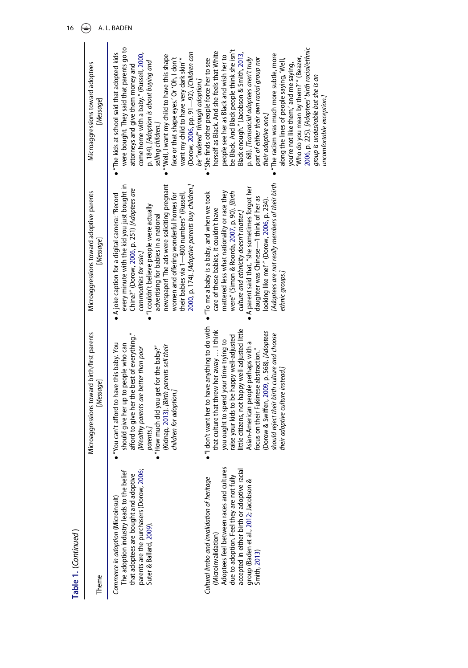| Table 1. (Continued)                                                                                                                                                                                                                                               |                                                                                                                                                                                                                                                                                                                                                                                                                                                        |                                                                                                                                                                                                                                                                                                                                                                                                                                                      |                                                                                                                                                                                                                                                                                                                                                                                                                                                                                                                                                                                                            |
|--------------------------------------------------------------------------------------------------------------------------------------------------------------------------------------------------------------------------------------------------------------------|--------------------------------------------------------------------------------------------------------------------------------------------------------------------------------------------------------------------------------------------------------------------------------------------------------------------------------------------------------------------------------------------------------------------------------------------------------|------------------------------------------------------------------------------------------------------------------------------------------------------------------------------------------------------------------------------------------------------------------------------------------------------------------------------------------------------------------------------------------------------------------------------------------------------|------------------------------------------------------------------------------------------------------------------------------------------------------------------------------------------------------------------------------------------------------------------------------------------------------------------------------------------------------------------------------------------------------------------------------------------------------------------------------------------------------------------------------------------------------------------------------------------------------------|
| Theme                                                                                                                                                                                                                                                              | Microaggressions toward birth/first parents<br>[Message]                                                                                                                                                                                                                                                                                                                                                                                               | Microaggressions toward adoptive parents<br>[Message]                                                                                                                                                                                                                                                                                                                                                                                                | Microaggressions toward adoptees<br>[Message]                                                                                                                                                                                                                                                                                                                                                                                                                                                                                                                                                              |
| parents are the purchasers (Dorow, 2006;<br>Suter & Ballard, 2009).<br>The adoption industry leads to the belief<br>that adoptees are bought and adoptive<br>Commerce in adoption (Microinsult)                                                                    | afford to give her the best of everything."<br>"You can't afford to have this baby. You<br>should give her up to people who can<br>(Kidnap, 2013). [Birth parents sell their<br>[Wealthy parents are better than poor<br>"How much did you get for the baby?"<br>children for adoption.<br>parents.)                                                                                                                                                   | 2000, p. 174). [Adoptive parents buy children.]<br>newspaper! The ads were soliciting pregnant<br>every minute with the kid you just bought in<br>China?" (Dorow, 2006, p. 251) [Adoptees are<br>• A joke caption for a digital camera: "Record<br>women and offering wonderful homes for<br>their babies via 1—800 numbers" (Russell,<br>"I couldn't believe people were actually<br>advertising for babies in a national<br>commodities for sale.] | were bought. They said that parents go to<br>(Dorow, 2006, pp. 91-92). [Children can<br>"The kids at school said that adopted kids<br>come home with a baby." (Russell, 2000,<br>"Well, I want my child to have this shape<br>face or that shape eyes.' Or 'Oh, I don't<br>want my child to have very dark skin"<br>p. 184). [Adoption is about buying and<br>attorneys and give them money and<br>be "ordered" through adoption.]<br>selling children.]                                                                                                                                                   |
| Adoptees feel between races and cultures<br>accepted in either birth or adoptive racial<br>due to adoption. Feel they are not fully<br>Cultural limbo and invalidation of heritage<br>group (Baden et al., 2012; Jacobson &<br>(Microinvalidation)<br>Smith, 2013) | "I don't want her to have anything to do with<br>little citizens, not happy well-adjusted little<br>that culture that threw her away  I think<br>(Dorow & Swiffen, 2009, p. 568). [Adoptees<br>should reject their birth culture and choose<br>raise your kids to be happy well-adjusted<br>you ought to spend your time trying to<br>Asian-American people perhaps with a<br>focus on their Fukinese abstraction."<br>their adoptive culture instead. | (Adoptees are not really members of their birth<br>A parent said that, "she sometimes forgot her<br>mattered less what nationality or race they<br>• "To me a baby is a baby, and when we took<br>were" (Simon & Roorda, 2007, p. 90). [Birth<br>daughter was Chinese-1 think of her as<br>looking like me!" (Dorow, 2006, p. 234).<br>care of these babies, it couldn't have<br>culture and ethnicity doesn't matter.]<br>ethnic groups.            | 2006, p. 225). [Adoptees' birth racial/ethnic<br>be Black. And Black people think she isn't<br>herself as Black. And she feels that White<br>Black enough." (Jacobson & Smith, 2013,<br>The racism was much more subtle, more<br>people see her as Black and wish her to<br>'Who do you mean by them?'" (Beazer,<br>p. 68). [Transracial adoptees aren't truly<br>part of either their own racial group nor<br>"She finds other people force her to see<br>along the lines of people saying, 'Well,<br>you're not like them,' and me saying,<br>group is undesirable but she is an<br>their adoptive one.] |
|                                                                                                                                                                                                                                                                    |                                                                                                                                                                                                                                                                                                                                                                                                                                                        |                                                                                                                                                                                                                                                                                                                                                                                                                                                      | uncomfortable exception.                                                                                                                                                                                                                                                                                                                                                                                                                                                                                                                                                                                   |

16  $\bigoplus$  A. L. BADEN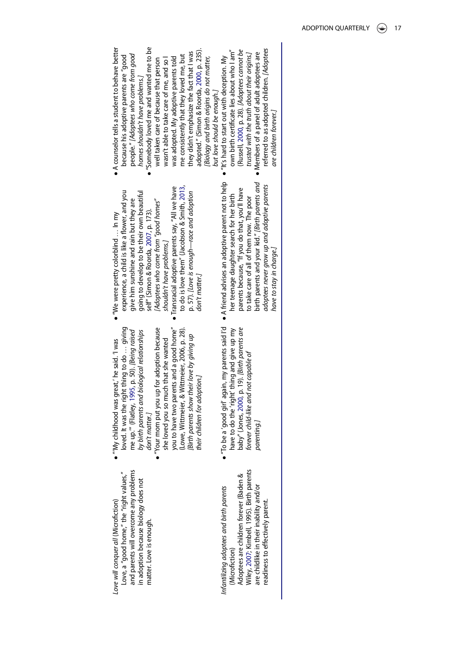| Love will conquer all (Microfiction)     | • ‴My childh  |
|------------------------------------------|---------------|
| Love, a "good home," the "right values," | loved. It v   |
| and parents will overcome any problems   | me up." (     |
| in adoption because biology does not     | by birth pi   |
| matter. Love is enough.                  | don't mat     |
|                                          | "Your mom     |
|                                          | she loved     |
|                                          | you to hay    |
|                                          | (Lowe, Wi     |
|                                          | تعمم ماشن 10٪ |

- as the right thing to do ... giving loved. It was the right thing to do … giving Flatley, 1995, p. 50). [Being raised "Your mom put you up for adoption because me up.'" (Flatley, [1995](#page-23-17), p. 50). [Being raised arents and biological relationships by birth parents and biological relationships ood was great,' he said. 'I was "'My childhood was great,' he said. 'I was er.] don't matter.]
- $\bullet$ put you up for adoption because ve two parents and a good home" you to have two parents and a good home" ttmeier, & Wittmeier, 2006, p. 28). (Lowe, Wittmeier, & Wittmeier, 2006, p. 28). [Birth parents show their love by giving up [Birth parents show their love by giving up you so much that she wanted she loved you so much that she wanted their children for adoption.] their children for adoption.]
- have to do the 'right' thing and give up my baby" (Jones, 2000, p. 19). [Birth parents are "To be a 'good girl' again, my parents said I'd have to do the 'right' thing and give up my baby" (Jones, [2000](#page-24-11), p. 19). [Birth parents are forever child-like and not capable of forever child-like and not capable of parenting.] . Wiley, 2007; Kimbell, 1995). Birth parents

Infantilizing adoptees and birth parents

Infantilizing adoptees and birth parents

(Microfiction)

(Microfiction)

Adoptees are children forever (Baden & Wiley, [2007](#page-23-11); Kimbell, 1995). Birth parents are childlike in their inability and/or readiness to effectively parent.

readiness to effectively parent.

Adoptees are children forever (Baden & are childlike in their inability and/or

- experience, a child is like a flower, and you going to develop to be their own beautiful experience, a child is like a flower, and you going to develop to be their own beautiful give him sunshine and rain but they are [Adoptees who come from "good homes" [Adoptees who come from "good homes" give him sunshine and rain but they are self" (Simon & Roorda, 2007, p. 173). self" (Simon & Roorda, [2007](#page-25-5), p. 173).  $\bullet$  "We were pretty colorblind ... In my "We were pretty colorblind … In my shouldn't have problems.] shouldn't have problems.]
- to do is love them" (Jacobson & Smith, 2013, Transracial adoptive parents say, "All we have to do is love them" (Jacobson & Smith, [2013,](#page-24-19) Transracial adoptive parents say, "All we have p. 57). [Love is enough-race and adoption p. 57). [Love is enough—race and adoption don't matter.] don't matter.]
- birth parents and your kid." [Birth parents and A friend advises an adoptive parent not to help birth parents and your kid." [Birth parents and adoptees never grow up and adoptive parents adoptees never grow up and adoptive parents parents because, "If you do that, you'll have parents because, "If you do that, you'll have her teenage daughter search for her birth her teenage daughter search for her birth to take care of all of them now. The poor to take care of all of them now. The poor have to stay in charge.] have to stay in charge.] .
- A counselor tells a student to behave better "Somebody loved me and wanted me to be A counselor tells a student to behave better "Somebody loved me and wanted me to be adopted." (Simon & Roorda, 2000, p. 235). adopted." (Simon & Roorda, [2000](#page-25-4), p. 235). (Russell, 2000, p. 28). [Adoptees cannot be they didn't emphasize the fact that I was own birth certificate lies about who I am" own birth certificate lies about who I am" (Russell, [2000,](#page-25-3) p. 28). [Adoptees cannot be trusted with the truth about their origins.] they didn't emphasize the fact that I was trusted with the truth about their origins.] because his adoptive parents are "good people." [Adoptees who come from good people." [Adoptees who come from good me consistently that they loved me, but was adopted. My adoptive parents told me consistently that they loved me, but [Biology and birth origins do not matter, because his adoptive parents are "good well taken care of because that person wasn't able to take care of me, and so I "It's hard to start out with deception. My wasn't able to take care of me, and so I was adopted. My adoptive parents told [Biology and birth origins do not matter, well taken care of because that person homes shouldn't have problems.] homes shouldn't have problems.] but love should be enough.] but love should be enough.] . .
	- referred to as adopted children. [Adoptees referred to as adopted children. [Adoptees · Members of a panel of adult adoptees are Members of a panel of adult adoptees are are children forever.] are children forever.]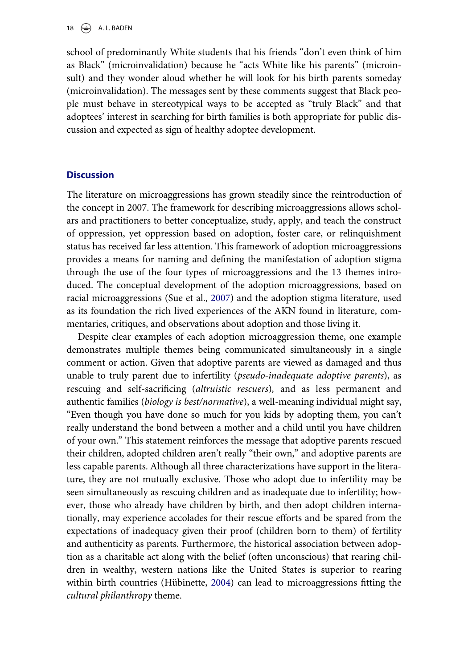school of predominantly White students that his friends "don't even think of him as Black" (microinvalidation) because he "acts White like his parents" (microinsult) and they wonder aloud whether he will look for his birth parents someday (microinvalidation). The messages sent by these comments suggest that Black people must behave in stereotypical ways to be accepted as "truly Black" and that adoptees' interest in searching for birth families is both appropriate for public discussion and expected as sign of healthy adoptee development.

#### **Discussion**

The literature on microaggressions has grown steadily since the reintroduction of the concept in 2007. The framework for describing microaggressions allows scholars and practitioners to better conceptualize, study, apply, and teach the construct of oppression, yet oppression based on adoption, foster care, or relinquishment status has received far less attention. This framework of adoption microaggressions provides a means for naming and defining the manifestation of adoption stigma through the use of the four types of microaggressions and the 13 themes introduced. The conceptual development of the adoption microaggressions, based on racial microaggressions (Sue et al., [2007\)](#page-25-1) and the adoption stigma literature, used as its foundation the rich lived experiences of the AKN found in literature, commentaries, critiques, and observations about adoption and those living it.

Despite clear examples of each adoption microaggression theme, one example demonstrates multiple themes being communicated simultaneously in a single comment or action. Given that adoptive parents are viewed as damaged and thus unable to truly parent due to infertility (pseudo-inadequate adoptive parents), as rescuing and self-sacrificing (altruistic rescuers), and as less permanent and authentic families (biology is best/normative), a well-meaning individual might say, "Even though you have done so much for you kids by adopting them, you can't really understand the bond between a mother and a child until you have children of your own." This statement reinforces the message that adoptive parents rescued their children, adopted children aren't really "their own," and adoptive parents are less capable parents. Although all three characterizations have support in the literature, they are not mutually exclusive. Those who adopt due to infertility may be seen simultaneously as rescuing children and as inadequate due to infertility; however, those who already have children by birth, and then adopt children internationally, may experience accolades for their rescue efforts and be spared from the expectations of inadequacy given their proof (children born to them) of fertility and authenticity as parents. Furthermore, the historical association between adoption as a charitable act along with the belief (often unconscious) that rearing children in wealthy, western nations like the United States is superior to rearing within birth countries (Hübinette, [2004](#page-24-20)) can lead to microaggressions fitting the cultural philanthropy theme.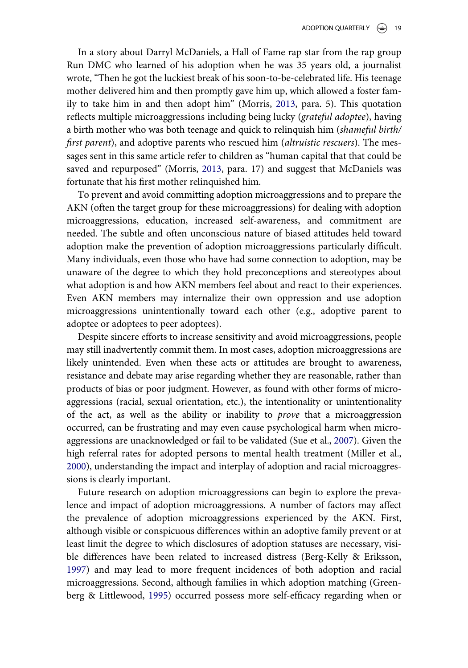In a story about Darryl McDaniels, a Hall of Fame rap star from the rap group Run DMC who learned of his adoption when he was 35 years old, a journalist wrote, "Then he got the luckiest break of his soon-to-be-celebrated life. His teenage mother delivered him and then promptly gave him up, which allowed a foster family to take him in and then adopt him" (Morris, [2013,](#page-25-17) para. 5). This quotation reflects multiple microaggressions including being lucky (grateful adoptee), having a birth mother who was both teenage and quick to relinquish him (shameful birth/ first parent), and adoptive parents who rescued him *(altruistic rescuers)*. The messages sent in this same article refer to children as "human capital that that could be saved and repurposed" (Morris, [2013](#page-25-17), para. 17) and suggest that McDaniels was fortunate that his first mother relinquished him.

To prevent and avoid committing adoption microaggressions and to prepare the AKN (often the target group for these microaggressions) for dealing with adoption microaggressions, education, increased self-awareness, and commitment are needed. The subtle and often unconscious nature of biased attitudes held toward adoption make the prevention of adoption microaggressions particularly difficult. Many individuals, even those who have had some connection to adoption, may be unaware of the degree to which they hold preconceptions and stereotypes about what adoption is and how AKN members feel about and react to their experiences. Even AKN members may internalize their own oppression and use adoption microaggressions unintentionally toward each other (e.g., adoptive parent to adoptee or adoptees to peer adoptees).

Despite sincere efforts to increase sensitivity and avoid microaggressions, people may still inadvertently commit them. In most cases, adoption microaggressions are likely unintended. Even when these acts or attitudes are brought to awareness, resistance and debate may arise regarding whether they are reasonable, rather than products of bias or poor judgment. However, as found with other forms of microaggressions (racial, sexual orientation, etc.), the intentionality or unintentionality of the act, as well as the ability or inability to *prove* that a microaggression occurred, can be frustrating and may even cause psychological harm when microaggressions are unacknowledged or fail to be validated (Sue et al., [2007\)](#page-25-1). Given the high referral rates for adopted persons to mental health treatment (Miller et al., [2000\)](#page-25-0), understanding the impact and interplay of adoption and racial microaggressions is clearly important.

Future research on adoption microaggressions can begin to explore the prevalence and impact of adoption microaggressions. A number of factors may affect the prevalence of adoption microaggressions experienced by the AKN. First, although visible or conspicuous differences within an adoptive family prevent or at least limit the degree to which disclosures of adoption statuses are necessary, visible differences have been related to increased distress (Berg-Kelly & Eriksson, [1997\)](#page-23-18) and may lead to more frequent incidences of both adoption and racial microaggressions. Second, although families in which adoption matching (Greenberg & Littlewood, [1995\)](#page-23-19) occurred possess more self-efficacy regarding when or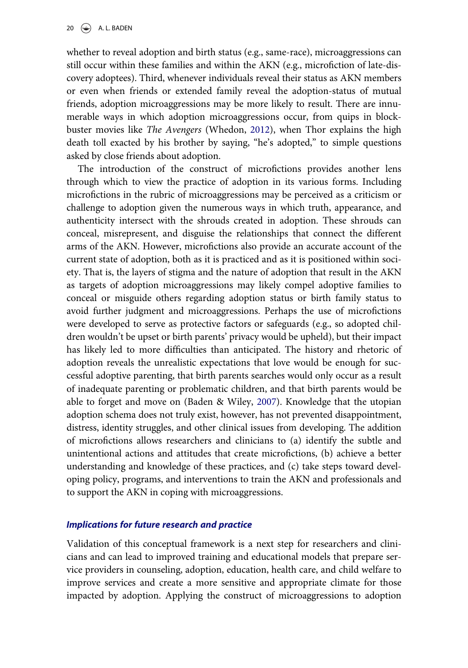whether to reveal adoption and birth status (e.g., same-race), microaggressions can still occur within these families and within the AKN (e.g., microfiction of late-discovery adoptees). Third, whenever individuals reveal their status as AKN members or even when friends or extended family reveal the adoption-status of mutual friends, adoption microaggressions may be more likely to result. There are innumerable ways in which adoption microaggressions occur, from quips in blockbuster movies like The Avengers (Whedon, [2012](#page-26-15)), when Thor explains the high death toll exacted by his brother by saying, "he's adopted," to simple questions asked by close friends about adoption.

The introduction of the construct of microfictions provides another lens through which to view the practice of adoption in its various forms. Including microfictions in the rubric of microaggressions may be perceived as a criticism or challenge to adoption given the numerous ways in which truth, appearance, and authenticity intersect with the shrouds created in adoption. These shrouds can conceal, misrepresent, and disguise the relationships that connect the different arms of the AKN. However, microfictions also provide an accurate account of the current state of adoption, both as it is practiced and as it is positioned within society. That is, the layers of stigma and the nature of adoption that result in the AKN as targets of adoption microaggressions may likely compel adoptive families to conceal or misguide others regarding adoption status or birth family status to avoid further judgment and microaggressions. Perhaps the use of microfictions were developed to serve as protective factors or safeguards (e.g., so adopted children wouldn't be upset or birth parents' privacy would be upheld), but their impact has likely led to more difficulties than anticipated. The history and rhetoric of adoption reveals the unrealistic expectations that love would be enough for successful adoptive parenting, that birth parents searches would only occur as a result of inadequate parenting or problematic children, and that birth parents would be able to forget and move on (Baden & Wiley, [2007\)](#page-23-11). Knowledge that the utopian adoption schema does not truly exist, however, has not prevented disappointment, distress, identity struggles, and other clinical issues from developing. The addition of microfictions allows researchers and clinicians to (a) identify the subtle and unintentional actions and attitudes that create microfictions, (b) achieve a better understanding and knowledge of these practices, and (c) take steps toward developing policy, programs, and interventions to train the AKN and professionals and to support the AKN in coping with microaggressions.

#### Implications for future research and practice

Validation of this conceptual framework is a next step for researchers and clinicians and can lead to improved training and educational models that prepare service providers in counseling, adoption, education, health care, and child welfare to improve services and create a more sensitive and appropriate climate for those impacted by adoption. Applying the construct of microaggressions to adoption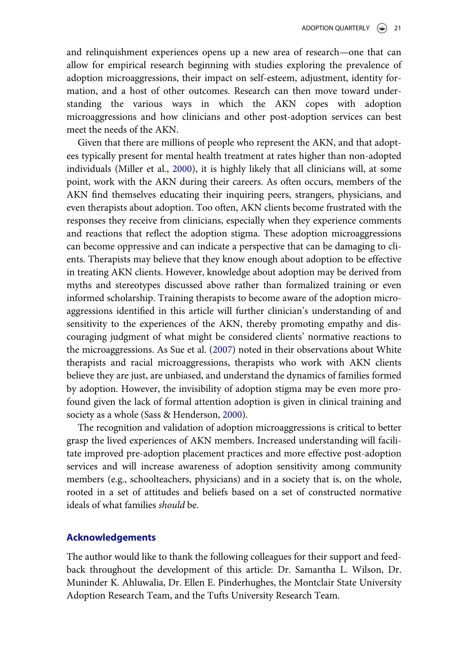and relinquishment experiences opens up a new area of research—one that can allow for empirical research beginning with studies exploring the prevalence of adoption microaggressions, their impact on self-esteem, adjustment, identity formation, and a host of other outcomes. Research can then move toward understanding the various ways in which the AKN copes with adoption microaggressions and how clinicians and other post-adoption services can best meet the needs of the AKN.

Given that there are millions of people who represent the AKN, and that adoptees typically present for mental health treatment at rates higher than non-adopted individuals (Miller et al., [2000\)](#page-25-0), it is highly likely that all clinicians will, at some point, work with the AKN during their careers. As often occurs, members of the AKN find themselves educating their inquiring peers, strangers, physicians, and even therapists about adoption. Too often, AKN clients become frustrated with the responses they receive from clinicians, especially when they experience comments and reactions that reflect the adoption stigma. These adoption microaggressions can become oppressive and can indicate a perspective that can be damaging to clients. Therapists may believe that they know enough about adoption to be effective in treating AKN clients. However, knowledge about adoption may be derived from myths and stereotypes discussed above rather than formalized training or even informed scholarship. Training therapists to become aware of the adoption microaggressions identified in this article will further clinician's understanding of and sensitivity to the experiences of the AKN, thereby promoting empathy and discouraging judgment of what might be considered clients' normative reactions to the microaggressions. As Sue et al. [\(2007](#page-25-1)) noted in their observations about White therapists and racial microaggressions, therapists who work with AKN clients believe they are just, are unbiased, and understand the dynamics of families formed by adoption. However, the invisibility of adoption stigma may be even more profound given the lack of formal attention adoption is given in clinical training and society as a whole (Sass & Henderson, [2000\)](#page-25-18).

The recognition and validation of adoption microaggressions is critical to better grasp the lived experiences of AKN members. Increased understanding will facilitate improved pre-adoption placement practices and more effective post-adoption services and will increase awareness of adoption sensitivity among community members (e.g., schoolteachers, physicians) and in a society that is, on the whole, rooted in a set of attitudes and beliefs based on a set of constructed normative ideals of what families should be.

### Acknowledgements

The author would like to thank the following colleagues for their support and feedback throughout the development of this article: Dr. Samantha L. Wilson, Dr. Muninder K. Ahluwalia, Dr. Ellen E. Pinderhughes, the Montclair State University Adoption Research Team, and the Tufts University Research Team.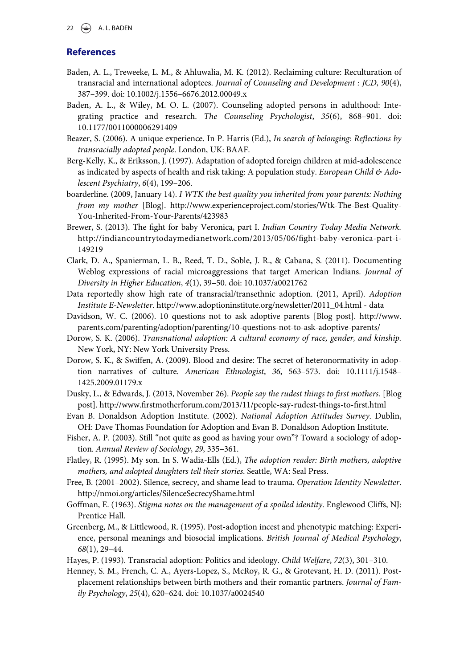#### 22  $\left(\bigstar\right)$  A. L. BADEN

### **References**

- <span id="page-23-9"></span>Baden, A. L., Treweeke, L. M., & Ahluwalia, M. K. (2012). Reclaiming culture: Reculturation of transracial and international adoptees. Journal of Counseling and Development : JCD, 90(4), 387–399. doi: 10.1002/j.1556–[6676.2012.00049.x](http://dx.doi.org/10.1002/j.1556--6676.2012.00049.x)
- <span id="page-23-11"></span>Baden, A. L., & Wiley, M. O. L. (2007). Counseling adopted persons in adulthood: Integrating practice and research. The Counseling Psychologist, 35(6), 868–901. doi: [10.1177/0011000006291409](http://dx.doi.org/10.1177/0011000006291409)
- <span id="page-23-16"></span>Beazer, S. (2006). A unique experience. In P. Harris (Ed.), In search of belonging: Reflections by transracially adopted people. London, UK: BAAF.
- <span id="page-23-18"></span>Berg-Kelly, K., & Eriksson, J. (1997). Adaptation of adopted foreign children at mid-adolescence as indicated by aspects of health and risk taking: A population study. European Child & Adolescent Psychiatry, 6(4), 199–206.
- <span id="page-23-14"></span>boarderline. (2009, January 14). I WTK the best quality you inherited from your parents: Nothing from my mother [Blog]. [http://www.experienceproject.com/stories/Wtk-The-Best-Quality-](http://www.experienceproject.com/stories/Wtk-The-Best-Quality-You-Inherited-From-Your-Parents/423983)[You-Inherited-From-Your-Parents/423983](http://www.experienceproject.com/stories/Wtk-The-Best-Quality-You-Inherited-From-Your-Parents/423983)
- <span id="page-23-10"></span>Brewer, S. (2013). The fight for baby Veronica, part I. Indian Country Today Media Network. [http://indiancountrytodaymedianetwork.com/2013/05/06/](http://indiancountrytodaymedianetwork.com/2013/05/06/fight-baby-veronica-part-i-149219)fight-baby-veronica-part-i-[149219](http://indiancountrytodaymedianetwork.com/2013/05/06/fight-baby-veronica-part-i-149219)
- <span id="page-23-7"></span>Clark, D. A., Spanierman, L. B., Reed, T. D., Soble, J. R., & Cabana, S. (2011). Documenting Weblog expressions of racial microaggressions that target American Indians. Journal of Diversity in Higher Education, 4(1), 39–50. doi: [10.1037/a0021762](http://dx.doi.org/10.1037/a0021762)
- <span id="page-23-12"></span>Data reportedly show high rate of transracial/transethnic adoption. (2011, April). Adoption Institute E-Newsletter. [http://www.adoptioninstitute.org/newsletter/2011\\_04.html](http://www.adoptioninstitute.org/newsletter/2011_04.html) - data
- <span id="page-23-4"></span>Davidson, W. C. (2006). 10 questions not to ask adoptive parents [Blog post]. [http://www.](http://www.parents.com/parenting/adoption/parenting/10-questions-not-to-ask-adoptive-parents/) [parents.com/parenting/adoption/parenting/10-questions-not-to-ask-adoptive-parents/](http://www.parents.com/parenting/adoption/parenting/10-questions-not-to-ask-adoptive-parents/)
- <span id="page-23-0"></span>Dorow, S. K. (2006). Transnational adoption: A cultural economy of race, gender, and kinship. New York, NY: New York University Press.
- <span id="page-23-15"></span>Dorow, S. K., & Swiffen, A. (2009). Blood and desire: The secret of heteronormativity in adoption narratives of culture. American Ethnologist, 36, 563–573. doi: [10.1111/j.1548](http://dx.doi.org/10.1111/j.1548--1425.2009.01179.x)– [1425.2009.01179.x](http://dx.doi.org/10.1111/j.1548--1425.2009.01179.x)
- <span id="page-23-13"></span>Dusky, L., & Edwards, J. (2013, November 26). People say the rudest things to first mothers. [Blog post]. http://www.fi[rstmotherforum.com/2013/11/people-say-rudest-things-to-](http://www.firstmotherforum.com/2013/11/people-say-rudest-things-to-first.html)first.html
- <span id="page-23-5"></span>Evan B. Donaldson Adoption Institute. (2002). National Adoption Attitudes Survey. Dublin, OH: Dave Thomas Foundation for Adoption and Evan B. Donaldson Adoption Institute.
- <span id="page-23-3"></span>Fisher, A. P. (2003). Still "not quite as good as having your own"? Toward a sociology of adoption. Annual Review of Sociology, 29, 335–361.
- <span id="page-23-17"></span>Flatley, R. (1995). My son. In S. Wadia-Ells (Ed.), The adoption reader: Birth mothers, adoptive mothers, and adopted daughters tell their stories. Seattle, WA: Seal Press.
- <span id="page-23-6"></span>Free, B. (2001–2002). Silence, secrecy, and shame lead to trauma. Operation Identity Newsletter. <http://nmoi.org/articles/SilenceSecrecyShame.html>
- <span id="page-23-1"></span>Goffman, E. (1963). Stigma notes on the management of a spoiled identity. Englewood Cliffs, NJ: Prentice Hall.
- <span id="page-23-19"></span>Greenberg, M., & Littlewood, R. (1995). Post-adoption incest and phenotypic matching: Experience, personal meanings and biosocial implications. British Journal of Medical Psychology, 68(1), 29–44.
- <span id="page-23-8"></span>Hayes, P. (1993). Transracial adoption: Politics and ideology. Child Welfare, 72(3), 301–310.
- <span id="page-23-2"></span>Henney, S. M., French, C. A., Ayers-Lopez, S., McRoy, R. G., & Grotevant, H. D. (2011). Postplacement relationships between birth mothers and their romantic partners. Journal of Family Psychology, 25(4), 620–624. doi: [10.1037/a0024540](http://dx.doi.org/10.1037/a0024540)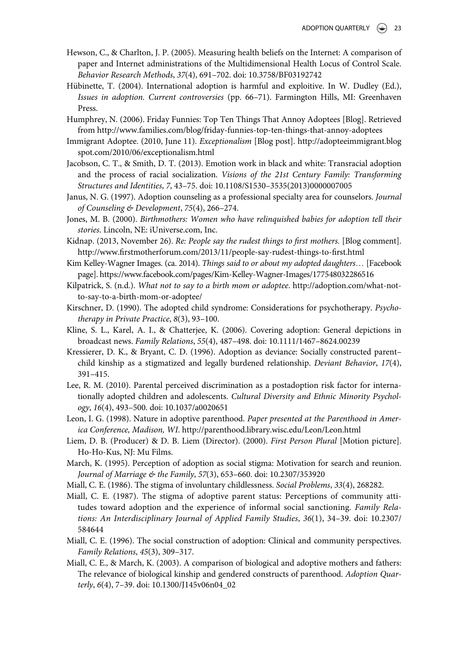- <span id="page-24-10"></span>Hewson, C., & Charlton, J. P. (2005). Measuring health beliefs on the Internet: A comparison of paper and Internet administrations of the Multidimensional Health Locus of Control Scale. Behavior Research Methods, 37(4), 691–702. doi: [10.3758/BF03192742](http://dx.doi.org/10.3758/BF03192742)
- <span id="page-24-20"></span>Hübinette, T. (2004). International adoption is harmful and exploitive. In W. Dudley (Ed.), Issues in adoption. Current controversies (pp. 66–71). Farmington Hills, MI: Greenhaven Press.
- <span id="page-24-15"></span>Humphrey, N. (2006). Friday Funnies: Top Ten Things That Annoy Adoptees [Blog]. Retrieved from<http://www.families.com/blog/friday-funnies-top-ten-things-that-annoy-adoptees>
- <span id="page-24-17"></span>Immigrant Adoptee. (2010, June 11). Exceptionalism [Blog post]. [http://adopteeimmigrant.blog](http://adopteeimmigrant.blogspot.com/2010/06/exceptionalism.html) [spot.com/2010/06/exceptionalism.html](http://adopteeimmigrant.blogspot.com/2010/06/exceptionalism.html)
- <span id="page-24-19"></span>Jacobson, C. T., & Smith, D. T. (2013). Emotion work in black and white: Transracial adoption and the process of racial socialization. Visions of the 21st Century Family: Transforming Structures and Identities, 7, 43–75. doi: 10.1108/S1530–[3535\(2013\)0000007005](http://dx.doi.org/10.1108/S1530--3535(2013)0000007005)
- <span id="page-24-13"></span>Janus, N. G. (1997). Adoption counseling as a professional specialty area for counselors. Journal of Counseling & Development, 75(4), 266–274.
- <span id="page-24-11"></span>Jones, M. B. (2000). Birthmothers: Women who have relinquished babies for adoption tell their stories. Lincoln, NE: iUniverse.com, Inc.
- <span id="page-24-18"></span>Kidnap. (2013, November 26). Re: People say the rudest things to first mothers. [Blog comment]. http://www.fi[rstmotherforum.com/2013/11/people-say-rudest-things-to-](http://www.firstmotherforum.com/2013/11/people-say-rudest-things-to-first.html)first.html
- <span id="page-24-6"></span>Kim Kelley-Wagner Images. (ca. 2014). Things said to or about my adopted daughters... [Facebook page]. https://[www.facebook.com/pages/Kim-Kelley-Wagner-Images/177548032286516](http://www.facebook.com/pages/Kim-Kelley-Wagner-Images/177548032286516)
- <span id="page-24-16"></span>Kilpatrick, S. (n.d.). What not to say to a birth mom or adoptee. [http://adoption.com/what-not](http://adoption.com/what-not-to-say-to-a-birth-mom-or-adoptee/)[to-say-to-a-birth-mom-or-adoptee/](http://adoption.com/what-not-to-say-to-a-birth-mom-or-adoptee/)
- <span id="page-24-12"></span>Kirschner, D. (1990). The adopted child syndrome: Considerations for psychotherapy. Psychotherapy in Private Practice, 8(3), 93–100.
- <span id="page-24-4"></span>Kline, S. L., Karel, A. I., & Chatterjee, K. (2006). Covering adoption: General depictions in broadcast news. Family Relations, 55(4), 487–498. doi: [10.1111/1467](http://dx.doi.org/10.1111/1467--8624.00239)–8624.00239
- <span id="page-24-8"></span>Kressierer, D. K., & Bryant, C. D. (1996). Adoption as deviance: Socially constructed parent– child kinship as a stigmatized and legally burdened relationship. Deviant Behavior, 17(4), 391–415.
- <span id="page-24-3"></span>Lee, R. M. (2010). Parental perceived discrimination as a postadoption risk factor for internationally adopted children and adolescents. Cultural Diversity and Ethnic Minority Psychology, 16(4), 493–500. doi: [10.1037/a0020651](http://dx.doi.org/10.1037/a0020651)
- <span id="page-24-14"></span>Leon, I. G. (1998). Nature in adoptive parenthood. Paper presented at the Parenthood in America Conference, Madison, WI.<http://parenthood.library.wisc.edu/Leon/Leon.html>
- <span id="page-24-9"></span>Liem, D. B. (Producer) & D. B. Liem (Director). (2000). First Person Plural [Motion picture]. Ho-Ho-Kus, NJ: Mu Films.
- <span id="page-24-0"></span>March, K. (1995). Perception of adoption as social stigma: Motivation for search and reunion. Journal of Marriage & the Family, 57(3), 653–660. doi: [10.2307/353920](http://dx.doi.org/10.2307/353920)
- <span id="page-24-2"></span>Miall, C. E. (1986). The stigma of involuntary childlessness. Social Problems, 33(4), 268282.
- <span id="page-24-1"></span>Miall, C. E. (1987). The stigma of adoptive parent status: Perceptions of community attitudes toward adoption and the experience of informal social sanctioning. Family Relations: An Interdisciplinary Journal of Applied Family Studies, 36(1), 34–39. doi: [10.2307/](http://dx.doi.org/10.2307/584644) [584644](http://dx.doi.org/10.2307/584644)
- <span id="page-24-7"></span>Miall, C. E. (1996). The social construction of adoption: Clinical and community perspectives. Family Relations, 45(3), 309–317.
- <span id="page-24-5"></span>Miall, C. E., & March, K. (2003). A comparison of biological and adoptive mothers and fathers: The relevance of biological kinship and gendered constructs of parenthood. Adoption Quarterly, 6(4), 7–39. doi: [10.1300/J145v06n04\\_02](http://dx.doi.org/10.1300/J145v06n04_02)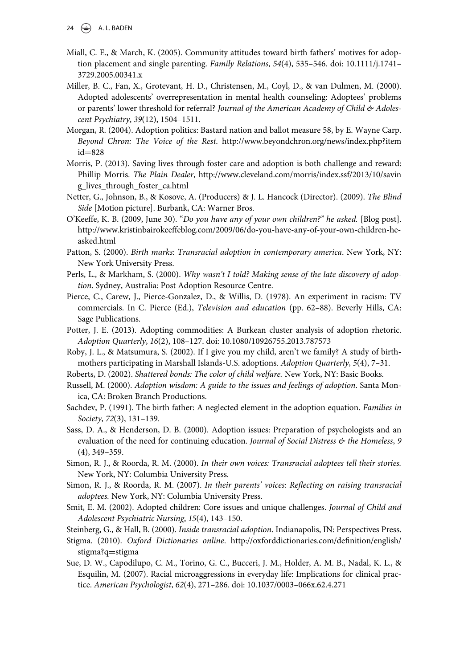- <span id="page-25-7"></span>Miall, C. E., & March, K. (2005). Community attitudes toward birth fathers' motives for adoption placement and single parenting. Family Relations, 54(4), 535–546. doi: [10.1111/j.1741](http://dx.doi.org/10.1111/j.1741--3729.2005.00341.x)– [3729.2005.00341.x](http://dx.doi.org/10.1111/j.1741--3729.2005.00341.x)
- <span id="page-25-0"></span>Miller, B. C., Fan, X., Grotevant, H. D., Christensen, M., Coyl, D., & van Dulmen, M. (2000). Adopted adolescents' overrepresentation in mental health counseling: Adoptees' problems or parents' lower threshold for referral? Journal of the American Academy of Child & Adolescent Psychiatry, 39(12), 1504–1511.
- <span id="page-25-11"></span>Morgan, R. (2004). Adoption politics: Bastard nation and ballot measure 58, by E. Wayne Carp. Beyond Chron: The Voice of the Rest. [http://www.beyondchron.org/news/index.php?item](http://www.beyondchron.org/news/index.php?itemid=828)  $id = 828$  $id = 828$  $id = 828$
- <span id="page-25-17"></span>Morris, P. (2013). Saving lives through foster care and adoption is both challenge and reward: Phillip Morris. The Plain Dealer, [http://www.cleveland.com/morris/index.ssf/2013/10/savin](http://www.cleveland.com/morris/index.ssf/2013/10/saving_lives_through_foster_ca.html) [g\\_lives\\_through\\_foster\\_ca.html](http://www.cleveland.com/morris/index.ssf/2013/10/saving_lives_through_foster_ca.html)
- Netter, G., Johnson, B., & Kosove, A. (Producers) & J. L. Hancock (Director). (2009). The Blind Side [Motion picture]. Burbank, CA: Warner Bros.
- <span id="page-25-15"></span>O'Keeffe, K. B. (2009, June 30). "Do you have any of your own children?" he asked. [Blog post]. [http://www.kristinbairokeeffeblog.com/2009/06/do-you-have-any-of-your-own-children-he](http://www.kristinbairokeeffeblog.com/2009/06/do-you-have-any-of-your-own-children-he-asked.html)[asked.html](http://www.kristinbairokeeffeblog.com/2009/06/do-you-have-any-of-your-own-children-he-asked.html)
- <span id="page-25-2"></span>Patton, S. (2000). Birth marks: Transracial adoption in contemporary america. New York, NY: New York University Press.
- <span id="page-25-10"></span>Perls, L., & Markham, S. (2000). Why wasn't I told? Making sense of the late discovery of adoption. Sydney, Australia: Post Adoption Resource Centre.
- <span id="page-25-9"></span>Pierce, C., Carew, J., Pierce-Gonzalez, D., & Willis, D. (1978). An experiment in racism: TV commercials. In C. Pierce (Ed.), Television and education (pp. 62–88). Beverly Hills, CA: Sage Publications.
- <span id="page-25-12"></span>Potter, J. E. (2013). Adopting commodities: A Burkean cluster analysis of adoption rhetoric. Adoption Quarterly, 16(2), 108–127. doi: [10.1080/10926755.2013.787573](http://dx.doi.org/10.1080/10926755.2013.787573)
- <span id="page-25-16"></span>Roby, J. L., & Matsumura, S. (2002). If I give you my child, aren't we family? A study of birthmothers participating in Marshall Islands-U.S. adoptions. Adoption Quarterly, 5(4), 7–31.
- Roberts, D. (2002). Shattered bonds: The color of child welfare. New York, NY: Basic Books.
- <span id="page-25-3"></span>Russell, M. (2000). Adoption wisdom: A guide to the issues and feelings of adoption. Santa Monica, CA: Broken Branch Productions.
- <span id="page-25-8"></span>Sachdev, P. (1991). The birth father: A neglected element in the adoption equation. Families in Society, 72(3), 131–139.
- <span id="page-25-18"></span>Sass, D. A., & Henderson, D. B. (2000). Adoption issues: Preparation of psychologists and an evaluation of the need for continuing education. Journal of Social Distress & the Homeless, 9 (4), 349–359.
- <span id="page-25-4"></span>Simon, R. J., & Roorda, R. M. (2000). In their own voices: Transracial adoptees tell their stories. New York, NY: Columbia University Press.
- <span id="page-25-5"></span>Simon, R. J., & Roorda, R. M. (2007). In their parents' voices: Reflecting on raising transracial adoptees. New York, NY: Columbia University Press.
- <span id="page-25-14"></span>Smit, E. M. (2002). Adopted children: Core issues and unique challenges. Journal of Child and Adolescent Psychiatric Nursing, 15(4), 143–150.
- <span id="page-25-13"></span>Steinberg, G., & Hall, B. (2000). Inside transracial adoption. Indianapolis, IN: Perspectives Press.
- <span id="page-25-6"></span>Stigma. (2010). Oxford Dictionaries online. [http://oxforddictionaries.com/de](http://oxforddictionaries.com/definition/english/stigma?q)finition/english/ [stigma?q](http://oxforddictionaries.com/definition/english/stigma?q)=stigma
- <span id="page-25-1"></span>Sue, D. W., Capodilupo, C. M., Torino, G. C., Bucceri, J. M., Holder, A. M. B., Nadal, K. L., & Esquilin, M. (2007). Racial microaggressions in everyday life: Implications for clinical practice. American Psychologist, 62(4), 271–286. doi: 10.1037/0003–[066x.62.4.271](http://dx.doi.org/10.1037/0003--066x.62.4.271)